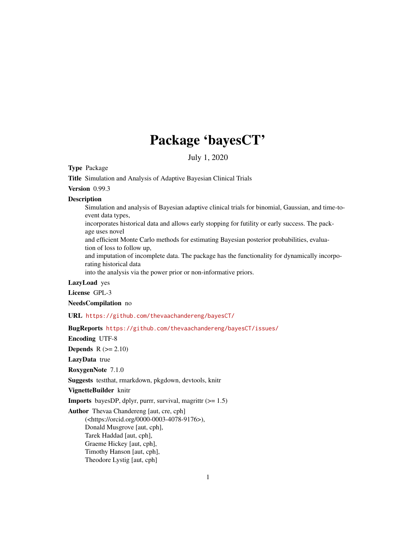# Package 'bayesCT'

July 1, 2020

# <span id="page-0-0"></span>Type Package

Title Simulation and Analysis of Adaptive Bayesian Clinical Trials

Version 0.99.3

#### **Description**

Simulation and analysis of Bayesian adaptive clinical trials for binomial, Gaussian, and time-toevent data types,

incorporates historical data and allows early stopping for futility or early success. The package uses novel

and efficient Monte Carlo methods for estimating Bayesian posterior probabilities, evaluation of loss to follow up,

and imputation of incomplete data. The package has the functionality for dynamically incorporating historical data

into the analysis via the power prior or non-informative priors.

# LazyLoad yes

License GPL-3

NeedsCompilation no

URL <https://github.com/thevaachandereng/bayesCT/>

BugReports <https://github.com/thevaachandereng/bayesCT/issues/>

Encoding UTF-8

**Depends**  $R$  ( $>= 2.10$ )

LazyData true

RoxygenNote 7.1.0

Suggests testthat, rmarkdown, pkgdown, devtools, knitr

VignetteBuilder knitr

**Imports** bayesDP, dplyr, purrr, survival, magrittr  $(>= 1.5)$ 

Author Thevaa Chandereng [aut, cre, cph] (<https://orcid.org/0000-0003-4078-9176>), Donald Musgrove [aut, cph], Tarek Haddad [aut, cph], Graeme Hickey [aut, cph], Timothy Hanson [aut, cph], Theodore Lystig [aut, cph]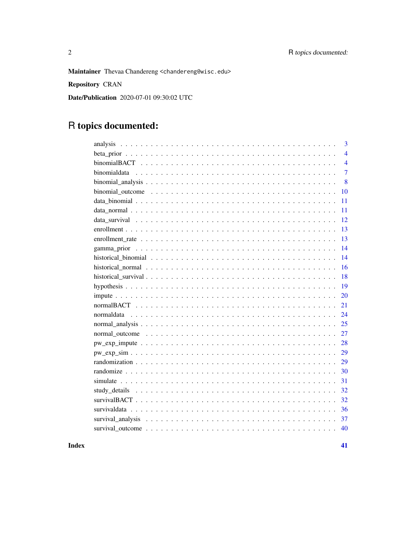Maintainer Thevaa Chandereng <chandereng@wisc.edu>

Repository CRAN

Date/Publication 2020-07-01 09:30:02 UTC

# R topics documented:

| 3              |
|----------------|
| $\overline{4}$ |
| $\overline{4}$ |
| $\overline{7}$ |
| 8              |
| 10             |
| 11             |
| 11             |
| 12             |
| 13             |
| 13             |
| 14             |
| 14             |
| 16             |
| 18             |
| 19             |
| 20             |
| 21             |
| 24             |
| 25             |
| 27             |
| 28             |
| 29             |
| 29             |
| 30             |
| 31             |
| 32             |
| 32             |
| 36             |
| 37             |
| 40             |

**Index** [41](#page-40-0)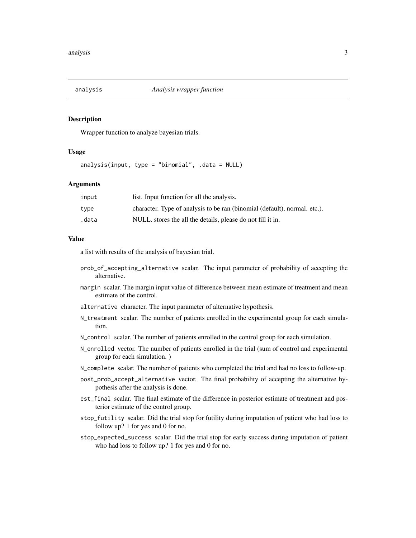<span id="page-2-0"></span>

Wrapper function to analyze bayesian trials.

#### Usage

analysis(input, type = "binomial", .data = NULL)

#### **Arguments**

| input | list. Input function for all the analysis.                                |
|-------|---------------------------------------------------------------------------|
| type  | character. Type of analysis to be ran (binomial (default), normal. etc.). |
| .data | NULL, stores the all the details, please do not fill it in.               |

# Value

a list with results of the analysis of bayesian trial.

- prob\_of\_accepting\_alternative scalar. The input parameter of probability of accepting the alternative.
- margin scalar. The margin input value of difference between mean estimate of treatment and mean estimate of the control.
- alternative character. The input parameter of alternative hypothesis.
- N\_treatment scalar. The number of patients enrolled in the experimental group for each simulation.
- N\_control scalar. The number of patients enrolled in the control group for each simulation.
- N\_enrolled vector. The number of patients enrolled in the trial (sum of control and experimental group for each simulation. )
- N\_complete scalar. The number of patients who completed the trial and had no loss to follow-up.
- post\_prob\_accept\_alternative vector. The final probability of accepting the alternative hypothesis after the analysis is done.
- est\_final scalar. The final estimate of the difference in posterior estimate of treatment and posterior estimate of the control group.
- stop\_futility scalar. Did the trial stop for futility during imputation of patient who had loss to follow up? 1 for yes and 0 for no.
- stop\_expected\_success scalar. Did the trial stop for early success during imputation of patient who had loss to follow up? 1 for yes and 0 for no.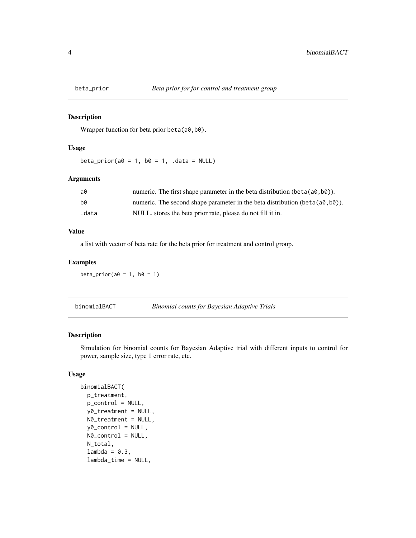<span id="page-3-0"></span>

Wrapper function for beta prior beta(a0,b0).

#### Usage

beta\_prior( $a0 = 1$ ,  $b0 = 1$ , .data = NULL)

# Arguments

| a0    | numeric. The first shape parameter in the beta distribution $(\text{beta}(a\theta, b\theta))$ . |
|-------|-------------------------------------------------------------------------------------------------|
| b0    | numeric. The second shape parameter in the beta distribution (beta( $a\theta$ , $b\theta$ )).   |
| .data | NULL. stores the beta prior rate, please do not fill it in.                                     |

#### Value

a list with vector of beta rate for the beta prior for treatment and control group.

# Examples

beta\_prior( $a0 = 1$ ,  $b0 = 1$ )

# Description

Simulation for binomial counts for Bayesian Adaptive trial with different inputs to control for power, sample size, type 1 error rate, etc.

# Usage

```
binomialBACT(
 p_treatment,
 p_control = NULL,
 y0_treatment = NULL,
 N0_treatment = NULL,
  y0_control = NULL,
 N0_control = NULL,
 N_total,
  lambda = 0.3,
  lambda_time = NULL,
```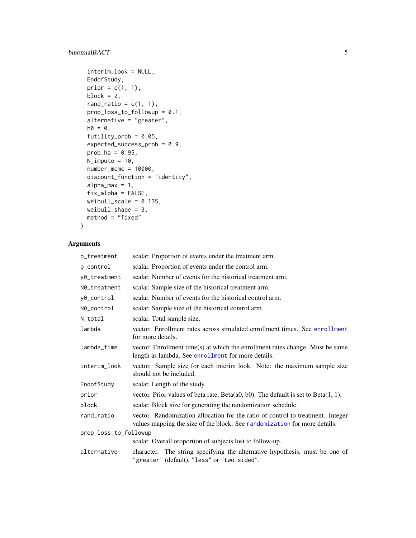# <span id="page-4-0"></span>binomialBACT 5

```
interim_look = NULL,
EndofStudy,
prior = c(1, 1),
block = 2,
rand_ratio = c(1, 1),
prop_loss_to_followup = 0.1,
alternative = "greater",
ho = 0,
futility_prob = 0.05,
expected_success_prob = 0.9,
prob_ha = 0.95,
N_iimpute = 10,
number_mcmc = 10000,
discount_function = "identity",
alpha_max = 1,
fix_alpha = FALSE,
weibull\_scale = 0.135,weibull_shape = 3,
method = "fixed"
```
# Arguments

 $\mathcal{L}$ 

| p_treatment           | scalar. Proportion of events under the treatment arm.                                                                                                        |
|-----------------------|--------------------------------------------------------------------------------------------------------------------------------------------------------------|
| p_control             | scalar. Proportion of events under the control arm.                                                                                                          |
| y0_treatment          | scalar. Number of events for the historical treatment arm.                                                                                                   |
| N0_treatment          | scalar. Sample size of the historical treatment arm.                                                                                                         |
| y0_control            | scalar. Number of events for the historical control arm.                                                                                                     |
| N0_control            | scalar. Sample size of the historical control arm.                                                                                                           |
| N_total               | scalar. Total sample size.                                                                                                                                   |
| lambda                | vector. Enrollment rates across simulated enrollment times. See enrollment<br>for more details.                                                              |
| lambda_time           | vector. Enrollment time(s) at which the enrollment rates change. Must be same<br>length as lambda. See enrollment for more details.                          |
| interim_look          | vector. Sample size for each interim look. Note: the maximum sample size<br>should not be included.                                                          |
| EndofStudy            | scalar. Length of the study.                                                                                                                                 |
| prior                 | vector. Prior values of beta rate, $Beta(a0, b0)$ . The default is set to $Beta(1, 1)$ .                                                                     |
| block                 | scalar. Block size for generating the randomization schedule.                                                                                                |
| rand_ratio            | vector. Randomization allocation for the ratio of control to treatment. Integer<br>values mapping the size of the block. See randomization for more details. |
| prop_loss_to_followup |                                                                                                                                                              |
|                       | scalar. Overall oroportion of subjects lost to follow-up.                                                                                                    |
| alternative           | character. The string specifying the alternative hypothesis, must be one of<br>"greater" (default), "less" or "two.sided".                                   |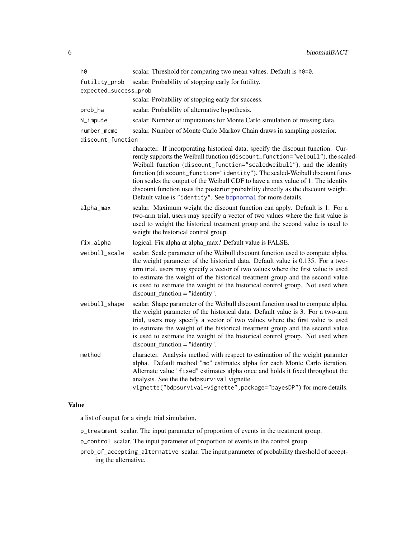<span id="page-5-0"></span>

| h0                    | scalar. Threshold for comparing two mean values. Default is h0=0.                                                                                                                                                                                                                                                                                                                                                                                                                                                                                                    |
|-----------------------|----------------------------------------------------------------------------------------------------------------------------------------------------------------------------------------------------------------------------------------------------------------------------------------------------------------------------------------------------------------------------------------------------------------------------------------------------------------------------------------------------------------------------------------------------------------------|
| futility_prob         | scalar. Probability of stopping early for futility.                                                                                                                                                                                                                                                                                                                                                                                                                                                                                                                  |
| expected_success_prob |                                                                                                                                                                                                                                                                                                                                                                                                                                                                                                                                                                      |
|                       | scalar. Probability of stopping early for success.                                                                                                                                                                                                                                                                                                                                                                                                                                                                                                                   |
| prob_ha               | scalar. Probability of alternative hypothesis.                                                                                                                                                                                                                                                                                                                                                                                                                                                                                                                       |
| N_impute              | scalar. Number of imputations for Monte Carlo simulation of missing data.                                                                                                                                                                                                                                                                                                                                                                                                                                                                                            |
| number_mcmc           | scalar. Number of Monte Carlo Markov Chain draws in sampling posterior.                                                                                                                                                                                                                                                                                                                                                                                                                                                                                              |
| discount_function     |                                                                                                                                                                                                                                                                                                                                                                                                                                                                                                                                                                      |
|                       | character. If incorporating historical data, specify the discount function. Cur-<br>rently supports the Weibull function (discount_function="weibull"), the scaled-<br>Weibull function (discount_function="scaledweibull"), and the identity<br>function (discount_function="identity"). The scaled-Weibull discount func-<br>tion scales the output of the Weibull CDF to have a max value of 1. The identity<br>discount function uses the posterior probability directly as the discount weight.<br>Default value is "identity". See bdpnormal for more details. |
| alpha_max             | scalar. Maximum weight the discount function can apply. Default is 1. For a<br>two-arm trial, users may specify a vector of two values where the first value is<br>used to weight the historical treatment group and the second value is used to<br>weight the historical control group.                                                                                                                                                                                                                                                                             |
| fix_alpha             | logical. Fix alpha at alpha_max? Default value is FALSE.                                                                                                                                                                                                                                                                                                                                                                                                                                                                                                             |
| weibull_scale         | scalar. Scale parameter of the Weibull discount function used to compute alpha,<br>the weight parameter of the historical data. Default value is 0.135. For a two-<br>arm trial, users may specify a vector of two values where the first value is used<br>to estimate the weight of the historical treatment group and the second value<br>is used to estimate the weight of the historical control group. Not used when<br>$discount\_function = "identity".$                                                                                                      |
| weibull_shape         | scalar. Shape parameter of the Weibull discount function used to compute alpha,<br>the weight parameter of the historical data. Default value is 3. For a two-arm<br>trial, users may specify a vector of two values where the first value is used<br>to estimate the weight of the historical treatment group and the second value<br>is used to estimate the weight of the historical control group. Not used when<br>$discount\_function = "identity".$                                                                                                           |
| method                | character. Analysis method with respect to estimation of the weight paramter<br>alpha. Default method "mc" estimates alpha for each Monte Carlo iteration.<br>Alternate value "fixed" estimates alpha once and holds it fixed throughout the<br>analysis. See the the bdpsurvival vignette<br>vignette("bdpsurvival-vignette", package="bayesDP") for more details.                                                                                                                                                                                                  |

# Value

a list of output for a single trial simulation.

p\_treatment scalar. The input parameter of proportion of events in the treatment group.

p\_control scalar. The input parameter of proportion of events in the control group.

prob\_of\_accepting\_alternative scalar. The input parameter of probability threshold of accepting the alternative.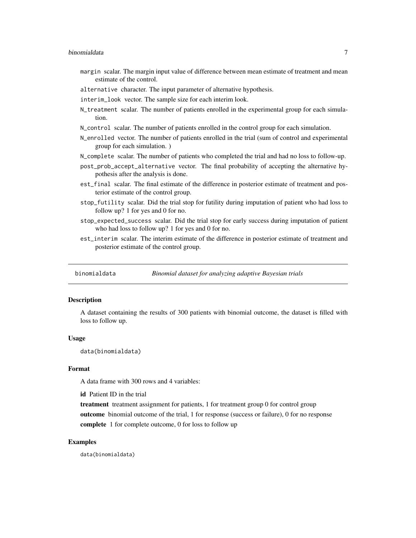- <span id="page-6-0"></span>margin scalar. The margin input value of difference between mean estimate of treatment and mean estimate of the control.
- alternative character. The input parameter of alternative hypothesis.
- interim\_look vector. The sample size for each interim look.
- N\_treatment scalar. The number of patients enrolled in the experimental group for each simulation.
- N\_control scalar. The number of patients enrolled in the control group for each simulation.
- N\_enrolled vector. The number of patients enrolled in the trial (sum of control and experimental group for each simulation. )
- N\_complete scalar. The number of patients who completed the trial and had no loss to follow-up.
- post\_prob\_accept\_alternative vector. The final probability of accepting the alternative hypothesis after the analysis is done.
- est\_final scalar. The final estimate of the difference in posterior estimate of treatment and posterior estimate of the control group.
- stop\_futility scalar. Did the trial stop for futility during imputation of patient who had loss to follow up? 1 for yes and 0 for no.
- stop\_expected\_success scalar. Did the trial stop for early success during imputation of patient who had loss to follow up? 1 for yes and 0 for no.
- est\_interim scalar. The interim estimate of the difference in posterior estimate of treatment and posterior estimate of the control group.

binomialdata *Binomial dataset for analyzing adaptive Bayesian trials*

#### **Description**

A dataset containing the results of 300 patients with binomial outcome, the dataset is filled with loss to follow up.

#### Usage

data(binomialdata)

#### Format

A data frame with 300 rows and 4 variables:

id Patient ID in the trial

treatment treatment assignment for patients, 1 for treatment group 0 for control group outcome binomial outcome of the trial, 1 for response (success or failure), 0 for no response complete 1 for complete outcome, 0 for loss to follow up

#### Examples

data(binomialdata)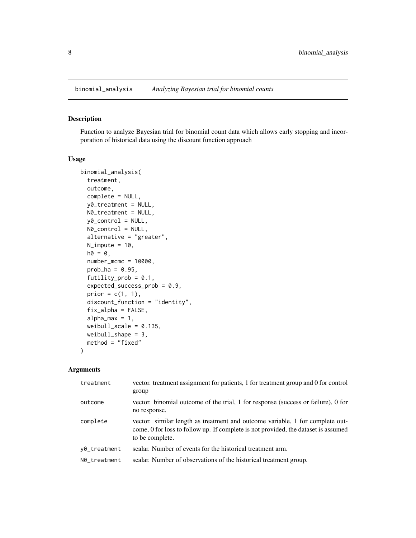<span id="page-7-0"></span>

Function to analyze Bayesian trial for binomial count data which allows early stopping and incorporation of historical data using the discount function approach

# Usage

```
binomial_analysis(
  treatment,
  outcome,
  complete = NULL,
  y0_treatment = NULL,
 N0_treatment = NULL,
  y0_control = NULL,
 N0_control = NULL,
  alternative = "greater",
 N_impute = 10,
  ho = 0,
  number_mcmc = 10000,
  prob_ha = 0.95,
  futility_prob = 0.1,
  expected_success_prob = 0.9,
  prior = c(1, 1),
  discount_function = "identity",
  fix_alpha = FALSE,
  alpha_max = 1,
  weibull_scale = 0.135,
 weibull_shape = 3,
  method = "fixed")
```
# Arguments

| treatment    | vector. treatment assignment for patients, 1 for treatment group and 0 for control<br>group                                                                                            |
|--------------|----------------------------------------------------------------------------------------------------------------------------------------------------------------------------------------|
| outcome      | vector. binomial outcome of the trial, 1 for response (success or failure), 0 for<br>no response.                                                                                      |
| complete     | vector. similar length as treatment and outcome variable, 1 for complete out-<br>come, 0 for loss to follow up. If complete is not provided, the dataset is assumed<br>to be complete. |
| y0_treatment | scalar. Number of events for the historical treatment arm.                                                                                                                             |
| N0_treatment | scalar. Number of observations of the historical treatment group.                                                                                                                      |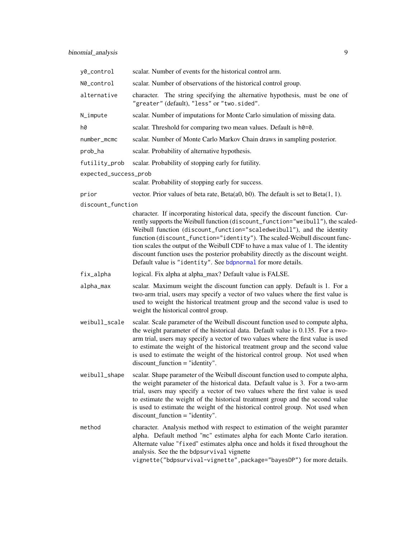<span id="page-8-0"></span>

| y0_control            | scalar. Number of events for the historical control arm.                                                                                                                                                                                                                                                                                                                                                                                                                                                                                                             |
|-----------------------|----------------------------------------------------------------------------------------------------------------------------------------------------------------------------------------------------------------------------------------------------------------------------------------------------------------------------------------------------------------------------------------------------------------------------------------------------------------------------------------------------------------------------------------------------------------------|
| N0_control            | scalar. Number of observations of the historical control group.                                                                                                                                                                                                                                                                                                                                                                                                                                                                                                      |
| alternative           | character. The string specifying the alternative hypothesis, must be one of<br>"greater" (default), "less" or "two.sided".                                                                                                                                                                                                                                                                                                                                                                                                                                           |
| N_impute              | scalar. Number of imputations for Monte Carlo simulation of missing data.                                                                                                                                                                                                                                                                                                                                                                                                                                                                                            |
| h0                    | scalar. Threshold for comparing two mean values. Default is h0=0.                                                                                                                                                                                                                                                                                                                                                                                                                                                                                                    |
| number_mcmc           | scalar. Number of Monte Carlo Markov Chain draws in sampling posterior.                                                                                                                                                                                                                                                                                                                                                                                                                                                                                              |
| prob_ha               | scalar. Probability of alternative hypothesis.                                                                                                                                                                                                                                                                                                                                                                                                                                                                                                                       |
| futility_prob         | scalar. Probability of stopping early for futility.                                                                                                                                                                                                                                                                                                                                                                                                                                                                                                                  |
| expected_success_prob | scalar. Probability of stopping early for success.                                                                                                                                                                                                                                                                                                                                                                                                                                                                                                                   |
| prior                 | vector. Prior values of beta rate, Beta $(a0, b0)$ . The default is set to Beta $(1, 1)$ .                                                                                                                                                                                                                                                                                                                                                                                                                                                                           |
| discount_function     |                                                                                                                                                                                                                                                                                                                                                                                                                                                                                                                                                                      |
|                       | character. If incorporating historical data, specify the discount function. Cur-<br>rently supports the Weibull function (discount_function="weibull"), the scaled-<br>Weibull function (discount_function="scaledweibull"), and the identity<br>function (discount_function="identity"). The scaled-Weibull discount func-<br>tion scales the output of the Weibull CDF to have a max value of 1. The identity<br>discount function uses the posterior probability directly as the discount weight.<br>Default value is "identity". See bdpnormal for more details. |
| fix_alpha             | logical. Fix alpha at alpha_max? Default value is FALSE.                                                                                                                                                                                                                                                                                                                                                                                                                                                                                                             |
| alpha_max             | scalar. Maximum weight the discount function can apply. Default is 1. For a<br>two-arm trial, users may specify a vector of two values where the first value is<br>used to weight the historical treatment group and the second value is used to<br>weight the historical control group.                                                                                                                                                                                                                                                                             |
| weibull_scale         | scalar. Scale parameter of the Weibull discount function used to compute alpha,<br>the weight parameter of the historical data. Default value is 0.135. For a two-<br>arm trial, users may specify a vector of two values where the first value is used<br>to estimate the weight of the historical treatment group and the second value<br>is used to estimate the weight of the historical control group. Not used when<br>$discount\_function = "identity".$                                                                                                      |
| weibull_shape         | scalar. Shape parameter of the Weibull discount function used to compute alpha,<br>the weight parameter of the historical data. Default value is 3. For a two-arm<br>trial, users may specify a vector of two values where the first value is used<br>to estimate the weight of the historical treatment group and the second value<br>is used to estimate the weight of the historical control group. Not used when<br>$discount\_function = "identity".$                                                                                                           |
| method                | character. Analysis method with respect to estimation of the weight paramter<br>alpha. Default method "mc" estimates alpha for each Monte Carlo iteration.<br>Alternate value "fixed" estimates alpha once and holds it fixed throughout the<br>analysis. See the the bdpsurvival vignette<br>vignette("bdpsurvival-vignette", package="bayesDP") for more details.                                                                                                                                                                                                  |
|                       |                                                                                                                                                                                                                                                                                                                                                                                                                                                                                                                                                                      |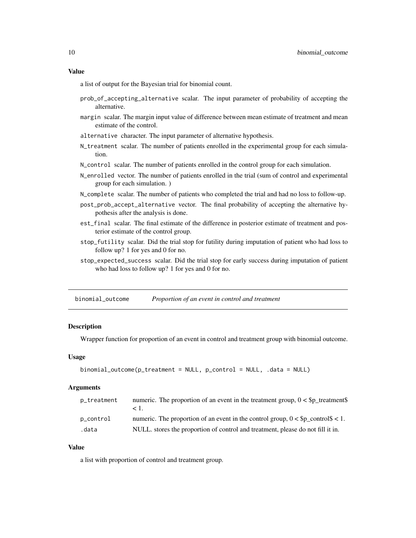#### <span id="page-9-0"></span>Value

a list of output for the Bayesian trial for binomial count.

- prob\_of\_accepting\_alternative scalar. The input parameter of probability of accepting the alternative.
- margin scalar. The margin input value of difference between mean estimate of treatment and mean estimate of the control.
- alternative character. The input parameter of alternative hypothesis.
- N\_treatment scalar. The number of patients enrolled in the experimental group for each simulation.
- N\_control scalar. The number of patients enrolled in the control group for each simulation.
- N\_enrolled vector. The number of patients enrolled in the trial (sum of control and experimental group for each simulation. )
- N\_complete scalar. The number of patients who completed the trial and had no loss to follow-up.
- post\_prob\_accept\_alternative vector. The final probability of accepting the alternative hypothesis after the analysis is done.
- est\_final scalar. The final estimate of the difference in posterior estimate of treatment and posterior estimate of the control group.
- stop\_futility scalar. Did the trial stop for futility during imputation of patient who had loss to follow up? 1 for yes and 0 for no.
- stop\_expected\_success scalar. Did the trial stop for early success during imputation of patient who had loss to follow up? 1 for yes and 0 for no.

binomial\_outcome *Proportion of an event in control and treatment*

#### **Description**

Wrapper function for proportion of an event in control and treatment group with binomial outcome.

#### Usage

```
binomial_outcome(p_treatment = NULL, p_control = NULL, .data = NULL)
```
# Arguments

| p_treatment | numeric. The proportion of an event in the treatment group, $0 <$ \$p_treatment\$<br>⊂ I ∶ |
|-------------|--------------------------------------------------------------------------------------------|
| p_control   | numeric. The proportion of an event in the control group, $0 <$ \$p_control\$ < 1.         |
| .data       | NULL, stores the proportion of control and treatment, please do not fill it in.            |

#### Value

a list with proportion of control and treatment group.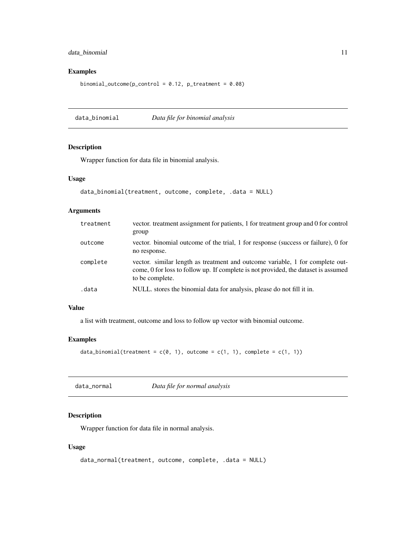# <span id="page-10-0"></span>data\_binomial 11

# Examples

binomial\_outcome( $p_{\text{control}} = 0.12$ ,  $p_{\text{treatment}} = 0.08$ )

data\_binomial *Data file for binomial analysis*

# Description

Wrapper function for data file in binomial analysis.

# Usage

```
data_binomial(treatment, outcome, complete, .data = NULL)
```
# Arguments

| treatment | vector, treatment assignment for patients, 1 for treatment group and 0 for control<br>group                                                                                            |
|-----------|----------------------------------------------------------------------------------------------------------------------------------------------------------------------------------------|
| outcome   | vector, binomial outcome of the trial, 1 for response (success or failure), 0 for<br>no response.                                                                                      |
| complete  | vector, similar length as treatment and outcome variable, 1 for complete out-<br>come, 0 for loss to follow up. If complete is not provided, the dataset is assumed<br>to be complete. |
| .data     | NULL, stores the binomial data for analysis, please do not fill it in.                                                                                                                 |

# Value

a list with treatment, outcome and loss to follow up vector with binomial outcome.

# Examples

```
data_binomial(treatment = c(\emptyset, 1), outcome = c(1, 1), complete = c(1, 1))
```
data\_normal *Data file for normal analysis*

# Description

Wrapper function for data file in normal analysis.

#### Usage

```
data_normal(treatment, outcome, complete, .data = NULL)
```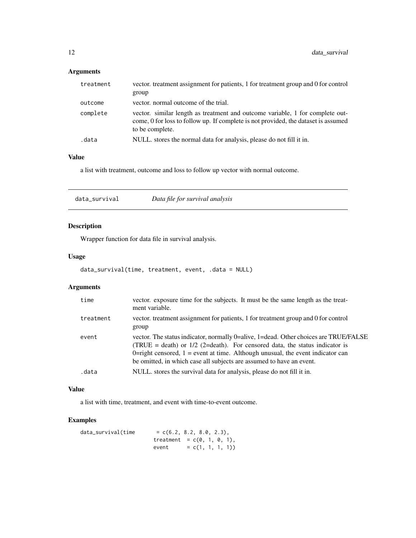# <span id="page-11-0"></span>Arguments

| treatment | vector, treatment assignment for patients, 1 for treatment group and 0 for control                                                                                                     |
|-----------|----------------------------------------------------------------------------------------------------------------------------------------------------------------------------------------|
|           | group                                                                                                                                                                                  |
| outcome   | vector, normal outcome of the trial.                                                                                                                                                   |
| complete  | vector. similar length as treatment and outcome variable, 1 for complete out-<br>come, 0 for loss to follow up. If complete is not provided, the dataset is assumed<br>to be complete. |
| .data     | NULL, stores the normal data for analysis, please do not fill it in.                                                                                                                   |

# Value

a list with treatment, outcome and loss to follow up vector with normal outcome.

| data_survival | Data file for survival analysis |  |
|---------------|---------------------------------|--|
|---------------|---------------------------------|--|

# Description

Wrapper function for data file in survival analysis.

# Usage

```
data_survival(time, treatment, event, .data = NULL)
```
# Arguments

| time      | vector. exposure time for the subjects. It must be the same length as the treat-<br>ment variable.                                                                                                                                                                                                                                |
|-----------|-----------------------------------------------------------------------------------------------------------------------------------------------------------------------------------------------------------------------------------------------------------------------------------------------------------------------------------|
| treatment | vector. treatment assignment for patients, 1 for treatment group and 0 for control<br>group                                                                                                                                                                                                                                       |
| event     | vector. The status indicator, normally 0=alive, 1=dead. Other choices are TRUE/FALSE<br>(TRUE = death) or $1/2$ (2=death). For censored data, the status indicator is<br>0-right censored, $1 =$ event at time. Although unusual, the event indicator can<br>be omitted, in which case all subjects are assumed to have an event. |
| .data     | NULL, stores the survival data for analysis, please do not fill it in.                                                                                                                                                                                                                                                            |
|           |                                                                                                                                                                                                                                                                                                                                   |

# Value

a list with time, treatment, and event with time-to-event outcome.

# Examples

| data_survival(time | $= c(6.2, 8.2, 8.0, 2.3).$    |                    |  |  |
|--------------------|-------------------------------|--------------------|--|--|
|                    | treatment = $c(0, 1, 0, 1)$ , |                    |  |  |
|                    | event                         | $= c(1, 1, 1, 1))$ |  |  |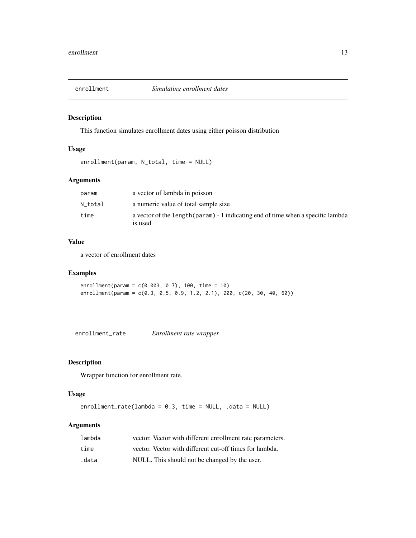<span id="page-12-1"></span><span id="page-12-0"></span>

This function simulates enrollment dates using either poisson distribution

# Usage

```
enrollment(param, N_total, time = NULL)
```
# Arguments

| param   | a vector of lambda in poisson                                                               |
|---------|---------------------------------------------------------------------------------------------|
| N total | a numeric value of total sample size                                                        |
| time    | a vector of the length (param) - 1 indicating end of time when a specific lambda<br>is used |

#### Value

a vector of enrollment dates

# Examples

enrollment(param = c(0.003, 0.7), 100, time = 10) enrollment(param = c(0.3, 0.5, 0.9, 1.2, 2.1), 200, c(20, 30, 40, 60))

enrollment\_rate *Enrollment rate wrapper*

# Description

Wrapper function for enrollment rate.

# Usage

enrollment\_rate(lambda = 0.3, time = NULL, .data = NULL)

# Arguments

| lambda | vector. Vector with different enrollment rate parameters. |
|--------|-----------------------------------------------------------|
| time   | vector. Vector with different cut-off times for lambda.   |
| .data  | NULL. This should not be changed by the user.             |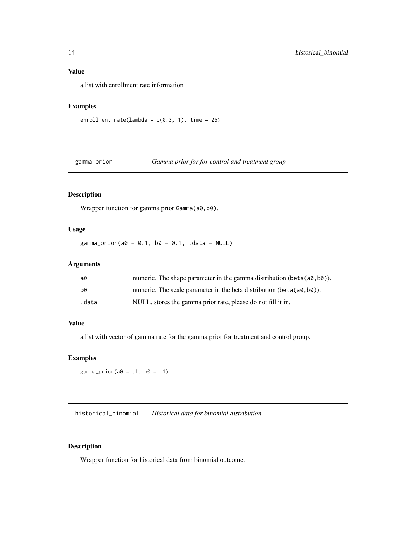# <span id="page-13-0"></span>Value

a list with enrollment rate information

### Examples

```
enrollment_rate(lambda = c(0.3, 1), time = 25)
```
# gamma\_prior *Gamma prior for for control and treatment group*

# Description

Wrapper function for gamma prior Gamma(a0,b0).

#### Usage

 $gamma_prior(a0 = 0.1, b0 = 0.1, .data = NULL)$ 

# Arguments

| a0    | numeric. The shape parameter in the gamma distribution (beta $(a0, b0)$ ). |
|-------|----------------------------------------------------------------------------|
| b0    | numeric. The scale parameter in the beta distribution (beta $(a0, b0)$ ).  |
| .data | NULL. stores the gamma prior rate, please do not fill it in.               |

#### Value

a list with vector of gamma rate for the gamma prior for treatment and control group.

# Examples

```
gamma_prior(a0 = .1, b0 = .1)
```
historical\_binomial *Historical data for binomial distribution*

# Description

Wrapper function for historical data from binomial outcome.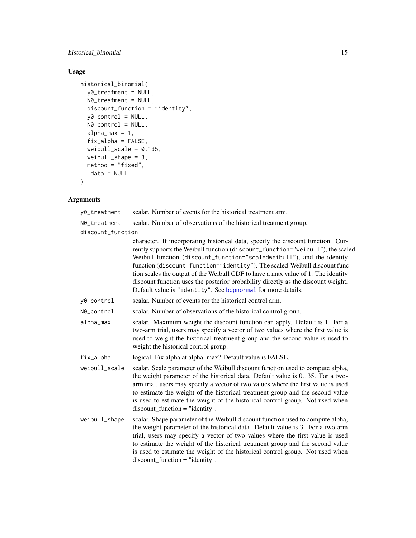<span id="page-14-0"></span>historical\_binomial 15

# Usage

```
historical_binomial(
 y0_treatment = NULL,
 N0_treatment = NULL,
 discount_function = "identity",
 y0_control = NULL,
 N0_control = NULL,
  alpha_max = 1,
  fix\_alpha = FALSE,weibull_scale = 0.135,
 weibull_shape = 3,
 method = "fixed",
  .data = NULL
\mathcal{L}
```
# Arguments

y0\_treatment scalar. Number of events for the historical treatment arm.

N0\_treatment scalar. Number of observations of the historical treatment group.

discount\_function

|               | character. If incorporating historical data, specify the discount function. Cur-<br>rently supports the Weibull function (discount_function="weibull"), the scaled-<br>Weibull function (discount_function="scaledweibull"), and the identity<br>function (discount_function="identity"). The scaled-Weibull discount func-<br>tion scales the output of the Weibull CDF to have a max value of 1. The identity<br>discount function uses the posterior probability directly as the discount weight.<br>Default value is "identity". See bdpnormal for more details. |
|---------------|----------------------------------------------------------------------------------------------------------------------------------------------------------------------------------------------------------------------------------------------------------------------------------------------------------------------------------------------------------------------------------------------------------------------------------------------------------------------------------------------------------------------------------------------------------------------|
| y0_control    | scalar. Number of events for the historical control arm.                                                                                                                                                                                                                                                                                                                                                                                                                                                                                                             |
| N0_control    | scalar. Number of observations of the historical control group.                                                                                                                                                                                                                                                                                                                                                                                                                                                                                                      |
| alpha_max     | scalar. Maximum weight the discount function can apply. Default is 1. For a<br>two-arm trial, users may specify a vector of two values where the first value is<br>used to weight the historical treatment group and the second value is used to<br>weight the historical control group.                                                                                                                                                                                                                                                                             |
| fix_alpha     | logical. Fix alpha at alpha_max? Default value is FALSE.                                                                                                                                                                                                                                                                                                                                                                                                                                                                                                             |
| weibull_scale | scalar. Scale parameter of the Weibull discount function used to compute alpha,<br>the weight parameter of the historical data. Default value is 0.135. For a two-<br>arm trial, users may specify a vector of two values where the first value is used<br>to estimate the weight of the historical treatment group and the second value<br>is used to estimate the weight of the historical control group. Not used when<br>$discount$ function = "identity".                                                                                                       |
| weibull_shape | scalar. Shape parameter of the Weibull discount function used to compute alpha,<br>the weight parameter of the historical data. Default value is 3. For a two-arm<br>trial, users may specify a vector of two values where the first value is used<br>to estimate the weight of the historical treatment group and the second value<br>is used to estimate the weight of the historical control group. Not used when<br>$discount\_function = "identity".$                                                                                                           |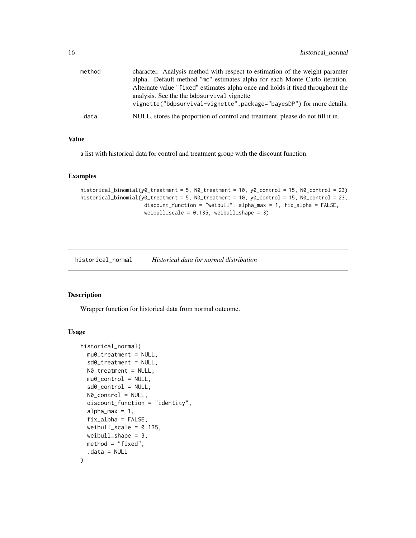<span id="page-15-0"></span>

| method | character. Analysis method with respect to estimation of the weight paramter<br>alpha. Default method "mc" estimates alpha for each Monte Carlo iteration.<br>Alternate value "fixed" estimates alpha once and holds it fixed throughout the |
|--------|----------------------------------------------------------------------------------------------------------------------------------------------------------------------------------------------------------------------------------------------|
|        | analysis. See the the bdpsurvival vignette<br>vignette("bdpsurvival-vignette", package="bayesDP") for more details.                                                                                                                          |
| .data  | NULL, stores the proportion of control and treatment, please do not fill it in.                                                                                                                                                              |

# Value

a list with historical data for control and treatment group with the discount function.

#### Examples

```
historical_binomial(y0_treatment = 5, N0_treatment = 10, y0_control = 15, N0_control = 23)
historical_binomial(y0_treatment = 5, N0_treatment = 10, y0_control = 15, N0_control = 23,
                     discount_function = "weibull", alpha_max = 1, fix_alpha = FALSE,
                     weibull_scale = 0.135, weibull_shape = 3)
```
historical\_normal *Historical data for normal distribution*

# Description

Wrapper function for historical data from normal outcome.

# Usage

```
historical_normal(
  mu0_treatment = NULL,
  sd0_treatment = NULL,
  N0_treatment = NULL,
  mu0_control = NULL,
  sd0_control = NULL,
  N0_control = NULL,
  discount_function = "identity",
  alpha_max = 1,
  fix_alpha = FALSE,
  weibull_scale = 0.135,
  weibull_shape = 3,
  method = "fixed",
  .data = NULL
)
```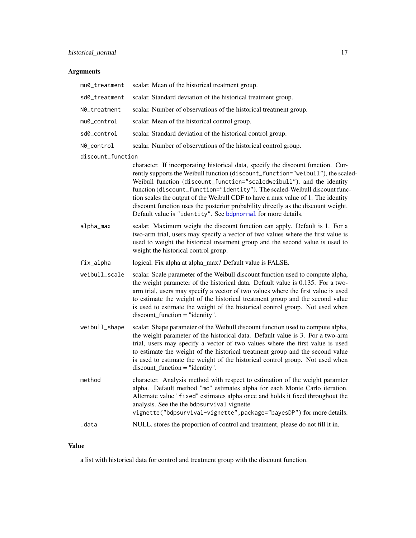# <span id="page-16-0"></span>Arguments

| mu0_treatment     | scalar. Mean of the historical treatment group.                                                                                                                                                                                                                                                                                                                                                                                                                                                                                                                      |
|-------------------|----------------------------------------------------------------------------------------------------------------------------------------------------------------------------------------------------------------------------------------------------------------------------------------------------------------------------------------------------------------------------------------------------------------------------------------------------------------------------------------------------------------------------------------------------------------------|
| sd0_treatment     | scalar. Standard deviation of the historical treatment group.                                                                                                                                                                                                                                                                                                                                                                                                                                                                                                        |
| N0_treatment      | scalar. Number of observations of the historical treatment group.                                                                                                                                                                                                                                                                                                                                                                                                                                                                                                    |
| mu0_control       | scalar. Mean of the historical control group.                                                                                                                                                                                                                                                                                                                                                                                                                                                                                                                        |
| sd0_control       | scalar. Standard deviation of the historical control group.                                                                                                                                                                                                                                                                                                                                                                                                                                                                                                          |
| N0_control        | scalar. Number of observations of the historical control group.                                                                                                                                                                                                                                                                                                                                                                                                                                                                                                      |
| discount_function | character. If incorporating historical data, specify the discount function. Cur-<br>rently supports the Weibull function (discount_function="weibull"), the scaled-<br>Weibull function (discount_function="scaledweibull"), and the identity<br>function (discount_function="identity"). The scaled-Weibull discount func-<br>tion scales the output of the Weibull CDF to have a max value of 1. The identity<br>discount function uses the posterior probability directly as the discount weight.<br>Default value is "identity". See bdpnormal for more details. |
| alpha_max         | scalar. Maximum weight the discount function can apply. Default is 1. For a<br>two-arm trial, users may specify a vector of two values where the first value is<br>used to weight the historical treatment group and the second value is used to<br>weight the historical control group.                                                                                                                                                                                                                                                                             |
| fix_alpha         | logical. Fix alpha at alpha_max? Default value is FALSE.                                                                                                                                                                                                                                                                                                                                                                                                                                                                                                             |
| weibull_scale     | scalar. Scale parameter of the Weibull discount function used to compute alpha,<br>the weight parameter of the historical data. Default value is 0.135. For a two-<br>arm trial, users may specify a vector of two values where the first value is used<br>to estimate the weight of the historical treatment group and the second value<br>is used to estimate the weight of the historical control group. Not used when<br>$discount\_function = "identity".$                                                                                                      |
| weibull_shape     | scalar. Shape parameter of the Weibull discount function used to compute alpha,<br>the weight parameter of the historical data. Default value is 3. For a two-arm<br>trial, users may specify a vector of two values where the first value is used<br>to estimate the weight of the historical treatment group and the second value<br>is used to estimate the weight of the historical control group. Not used when<br>$discount\_function = "identity".$                                                                                                           |
| method            | character. Analysis method with respect to estimation of the weight paramter<br>alpha. Default method "mc" estimates alpha for each Monte Carlo iteration.<br>Alternate value "fixed" estimates alpha once and holds it fixed throughout the<br>analysis. See the the bdpsurvival vignette<br>vignette("bdpsurvival-vignette", package="bayesDP") for more details.                                                                                                                                                                                                  |
| .data             | NULL. stores the proportion of control and treatment, please do not fill it in.                                                                                                                                                                                                                                                                                                                                                                                                                                                                                      |
|                   |                                                                                                                                                                                                                                                                                                                                                                                                                                                                                                                                                                      |

# Value

a list with historical data for control and treatment group with the discount function.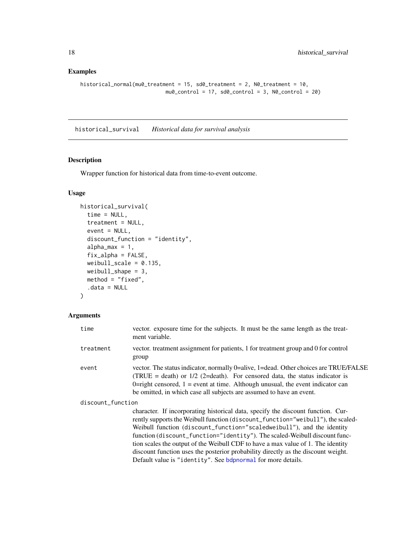# <span id="page-17-0"></span>Examples

```
historical_normal(mu0_treatment = 15, sd0_treatment = 2, N0_treatment = 10,
                            mu0_{control} = 17, sd0_{control} = 3, N0_{control} = 20
```
historical\_survival *Historical data for survival analysis*

#### Description

Wrapper function for historical data from time-to-event outcome.

# Usage

```
historical_survival(
  time = NULL,
  treatment = NULL,
  event = NULL,discount_function = "identity",
  alpha_max = 1,
  fix_alpha = FALSE,
  weibull_scale = 0.135,
  weibull_shape = 3,
  method = "fixed",
  .data = NULL
)
```
# Arguments

| time              | vector. exposure time for the subjects. It must be the same length as the treat-<br>ment variable.                                                                                                                                                                                                                                                                                                                                                                                                                                                                   |
|-------------------|----------------------------------------------------------------------------------------------------------------------------------------------------------------------------------------------------------------------------------------------------------------------------------------------------------------------------------------------------------------------------------------------------------------------------------------------------------------------------------------------------------------------------------------------------------------------|
| treatment         | vector, treatment assignment for patients, 1 for treatment group and 0 for control<br>group                                                                                                                                                                                                                                                                                                                                                                                                                                                                          |
| event             | vector. The status indicator, normally 0=alive, 1=dead. Other choices are TRUE/FALSE<br>(TRUE = death) or $1/2$ (2=death). For censored data, the status indicator is<br>0=right censored, $1$ = event at time. Although unusual, the event indicator can<br>be omitted, in which case all subjects are assumed to have an event.                                                                                                                                                                                                                                    |
| discount_function |                                                                                                                                                                                                                                                                                                                                                                                                                                                                                                                                                                      |
|                   | character. If incorporating historical data, specify the discount function. Cur-<br>rently supports the Weibull function (discount_function="weibull"), the scaled-<br>Weibull function (discount_function="scaledweibull"), and the identity<br>function (discount_function="identity"). The scaled-Weibull discount func-<br>tion scales the output of the Weibull CDF to have a max value of 1. The identity<br>discount function uses the posterior probability directly as the discount weight.<br>Default value is "identity". See bdpnormal for more details. |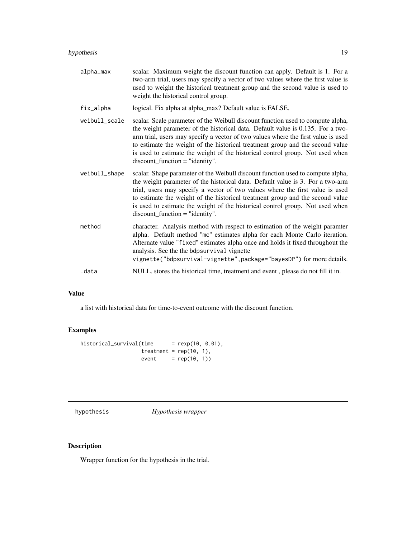#### <span id="page-18-0"></span>hypothesis 19

alpha\_max scalar. Maximum weight the discount function can apply. Default is 1. For a two-arm trial, users may specify a vector of two values where the first value is used to weight the historical treatment group and the second value is used to weight the historical control group.

fix\_alpha logical. Fix alpha at alpha\_max? Default value is FALSE.

- weibull\_scale scalar. Scale parameter of the Weibull discount function used to compute alpha, the weight parameter of the historical data. Default value is 0.135. For a twoarm trial, users may specify a vector of two values where the first value is used to estimate the weight of the historical treatment group and the second value is used to estimate the weight of the historical control group. Not used when discount\_function = "identity".
- weibull\_shape scalar. Shape parameter of the Weibull discount function used to compute alpha, the weight parameter of the historical data. Default value is 3. For a two-arm trial, users may specify a vector of two values where the first value is used to estimate the weight of the historical treatment group and the second value is used to estimate the weight of the historical control group. Not used when discount\_function = "identity".
- method character. Analysis method with respect to estimation of the weight paramter alpha. Default method "mc" estimates alpha for each Monte Carlo iteration. Alternate value "fixed" estimates alpha once and holds it fixed throughout the analysis. See the the bdpsurvival vignette vignette("bdpsurvival-vignette",package="bayesDP") for more details. .data NULL. stores the historical time, treatment and event , please do not fill it in.

#### Value

a list with historical data for time-to-event outcome with the discount function.

#### Examples

```
historical_survival(time = rexp(10, 0.01),
                  treatment = rep(10, 1),event = rep(10, 1))
```
hypothesis *Hypothesis wrapper*

#### Description

Wrapper function for the hypothesis in the trial.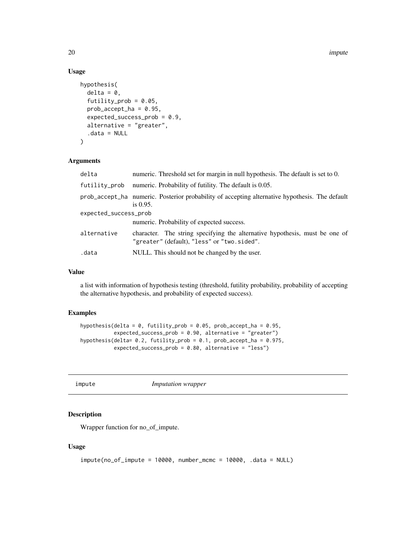20 **impute** 

# Usage

```
hypothesis(
 delta = 0,
  futility_prob = 0.05,
 prob\_accept\_ha = 0.95,
  expected_success_prob = 0.9,
  alternative = "greater",
  .data = NULL
)
```
# Arguments

| delta                 | numeric. Threshold set for margin in null hypothesis. The default is set to 0.                                             |
|-----------------------|----------------------------------------------------------------------------------------------------------------------------|
| futility_prob         | numeric. Probability of futility. The default is 0.05.                                                                     |
|                       | prob_accept_ha numeric. Posterior probability of accepting alternative hypothesis. The default<br>is $0.95$ .              |
| expected_success_prob |                                                                                                                            |
|                       | numeric. Probability of expected success.                                                                                  |
| alternative           | character. The string specifying the alternative hypothesis, must be one of<br>"greater" (default), "less" or "two.sided". |
| .data                 | NULL. This should not be changed by the user.                                                                              |

# Value

a list with information of hypothesis testing (threshold, futility probability, probability of accepting the alternative hypothesis, and probability of expected success).

## Examples

```
hypothesis(delta = 0, futility_prob = 0.05, prob_accept_ha = 0.95,
          expected_success_prob = 0.90, alternative = "greater")
hypothesis(delta= 0.2, futility_prob = 0.1, prob_accept_ha = 0.975,
          expected_success_prob = 0.80, alternative = "less")
```
impute *Imputation wrapper*

# Description

Wrapper function for no\_of\_impute.

### Usage

```
impute(no_of_impute = 10000, number_mcmc = 10000, .data = NULL)
```
<span id="page-19-0"></span>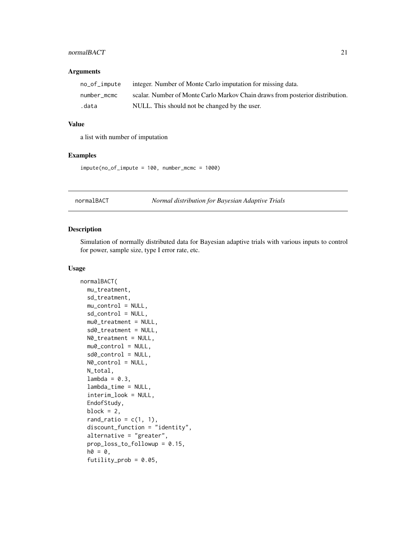#### <span id="page-20-0"></span>normalBACT 21

#### Arguments

| no_of_impute | integer. Number of Monte Carlo imputation for missing data.                   |
|--------------|-------------------------------------------------------------------------------|
| number mcmc  | scalar. Number of Monte Carlo Markov Chain draws from posterior distribution. |
| .data        | NULL. This should not be changed by the user.                                 |

# Value

a list with number of imputation

#### Examples

impute(no\_of\_impute = 100, number\_mcmc = 1000)

normalBACT *Normal distribution for Bayesian Adaptive Trials*

#### Description

Simulation of normally distributed data for Bayesian adaptive trials with various inputs to control for power, sample size, type I error rate, etc.

#### Usage

```
normalBACT(
 mu_treatment,
  sd_treatment,
 mu_control = NULL,
  sd_control = NULL,
  mu0_treatment = NULL,
  sd0_treatment = NULL,
 N0_treatment = NULL,
 mu0_{control} = NULL,sd0_control = NULL,
 N0_control = NULL,
 N_total,
  lambda = 0.3,
  lambda_time = NULL,
  interim_look = NULL,
  EndofStudy,
  block = 2,
  rand_ratio = c(1, 1),
  discount_function = "identity",
  alternative = "greater",
  prop_loss_to_followup = 0.15,
  ho = 0,
  futility_prob = 0.05,
```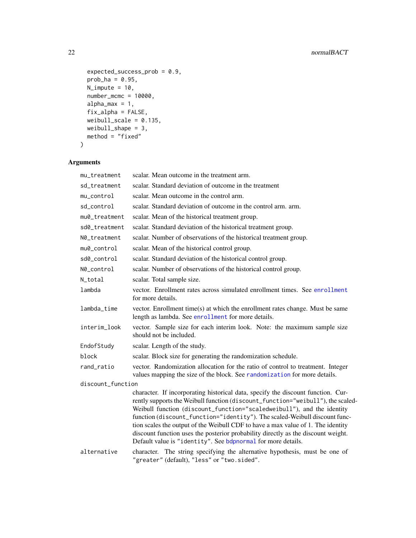```
expected_success_prob = 0.9,
 prob_ha = 0.95,
 N_impute = 10,
 number_mcmc = 10000,
 alpha_max = 1,
 fix_alpha = FALSE,
 weibull_scale = 0.135,
 weibull_shape = 3,
 method = "fixed"
\mathcal{L}
```
# Arguments

| mu_treatment      | scalar. Mean outcome in the treatment arm.                                                                                                                                                                                                                                                                                                                                                                                                                                                                                                                           |
|-------------------|----------------------------------------------------------------------------------------------------------------------------------------------------------------------------------------------------------------------------------------------------------------------------------------------------------------------------------------------------------------------------------------------------------------------------------------------------------------------------------------------------------------------------------------------------------------------|
| sd_treatment      | scalar. Standard deviation of outcome in the treatment                                                                                                                                                                                                                                                                                                                                                                                                                                                                                                               |
| mu_control        | scalar. Mean outcome in the control arm.                                                                                                                                                                                                                                                                                                                                                                                                                                                                                                                             |
| sd_control        | scalar. Standard deviation of outcome in the control arm. arm.                                                                                                                                                                                                                                                                                                                                                                                                                                                                                                       |
| mu0_treatment     | scalar. Mean of the historical treatment group.                                                                                                                                                                                                                                                                                                                                                                                                                                                                                                                      |
| sd0_treatment     | scalar. Standard deviation of the historical treatment group.                                                                                                                                                                                                                                                                                                                                                                                                                                                                                                        |
| N0_treatment      | scalar. Number of observations of the historical treatment group.                                                                                                                                                                                                                                                                                                                                                                                                                                                                                                    |
| mu0_control       | scalar. Mean of the historical control group.                                                                                                                                                                                                                                                                                                                                                                                                                                                                                                                        |
| sd0_control       | scalar. Standard deviation of the historical control group.                                                                                                                                                                                                                                                                                                                                                                                                                                                                                                          |
| N0_control        | scalar. Number of observations of the historical control group.                                                                                                                                                                                                                                                                                                                                                                                                                                                                                                      |
| N_total           | scalar. Total sample size.                                                                                                                                                                                                                                                                                                                                                                                                                                                                                                                                           |
| lambda            | vector. Enrollment rates across simulated enrollment times. See enrollment<br>for more details.                                                                                                                                                                                                                                                                                                                                                                                                                                                                      |
| lambda_time       | vector. Enrollment time(s) at which the enrollment rates change. Must be same<br>length as lambda. See enrollment for more details.                                                                                                                                                                                                                                                                                                                                                                                                                                  |
| interim_look      | vector. Sample size for each interim look. Note: the maximum sample size<br>should not be included.                                                                                                                                                                                                                                                                                                                                                                                                                                                                  |
| EndofStudy        | scalar. Length of the study.                                                                                                                                                                                                                                                                                                                                                                                                                                                                                                                                         |
| block             | scalar. Block size for generating the randomization schedule.                                                                                                                                                                                                                                                                                                                                                                                                                                                                                                        |
| rand_ratio        | vector. Randomization allocation for the ratio of control to treatment. Integer<br>values mapping the size of the block. See randomization for more details.                                                                                                                                                                                                                                                                                                                                                                                                         |
| discount_function |                                                                                                                                                                                                                                                                                                                                                                                                                                                                                                                                                                      |
|                   | character. If incorporating historical data, specify the discount function. Cur-<br>rently supports the Weibull function (discount_function="weibull"), the scaled-<br>Weibull function (discount_function="scaledweibull"), and the identity<br>function (discount_function="identity"). The scaled-Weibull discount func-<br>tion scales the output of the Weibull CDF to have a max value of 1. The identity<br>discount function uses the posterior probability directly as the discount weight.<br>Default value is "identity". See bdpnormal for more details. |
| alternative       | character. The string specifying the alternative hypothesis, must be one of<br>"greater" (default), "less" or "two.sided".                                                                                                                                                                                                                                                                                                                                                                                                                                           |

<span id="page-21-0"></span>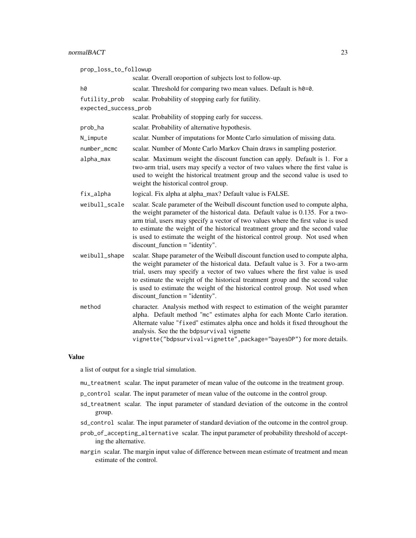# normalBACT 23

| prop_loss_to_followup |                                                                                                                                                                                                                                                                                                                                                                                                                                                                 |  |
|-----------------------|-----------------------------------------------------------------------------------------------------------------------------------------------------------------------------------------------------------------------------------------------------------------------------------------------------------------------------------------------------------------------------------------------------------------------------------------------------------------|--|
|                       | scalar. Overall oroportion of subjects lost to follow-up.                                                                                                                                                                                                                                                                                                                                                                                                       |  |
| h0                    | scalar. Threshold for comparing two mean values. Default is h0=0.                                                                                                                                                                                                                                                                                                                                                                                               |  |
| futility_prob         | scalar. Probability of stopping early for futility.                                                                                                                                                                                                                                                                                                                                                                                                             |  |
| expected_success_prob |                                                                                                                                                                                                                                                                                                                                                                                                                                                                 |  |
|                       | scalar. Probability of stopping early for success.                                                                                                                                                                                                                                                                                                                                                                                                              |  |
| prob_ha               | scalar. Probability of alternative hypothesis.                                                                                                                                                                                                                                                                                                                                                                                                                  |  |
| N_impute              | scalar. Number of imputations for Monte Carlo simulation of missing data.                                                                                                                                                                                                                                                                                                                                                                                       |  |
| number_mcmc           | scalar. Number of Monte Carlo Markov Chain draws in sampling posterior.                                                                                                                                                                                                                                                                                                                                                                                         |  |
| alpha_max             | scalar. Maximum weight the discount function can apply. Default is 1. For a<br>two-arm trial, users may specify a vector of two values where the first value is<br>used to weight the historical treatment group and the second value is used to<br>weight the historical control group.                                                                                                                                                                        |  |
| fix_alpha             | logical. Fix alpha at alpha_max? Default value is FALSE.                                                                                                                                                                                                                                                                                                                                                                                                        |  |
| weibull_scale         | scalar. Scale parameter of the Weibull discount function used to compute alpha,<br>the weight parameter of the historical data. Default value is 0.135. For a two-<br>arm trial, users may specify a vector of two values where the first value is used<br>to estimate the weight of the historical treatment group and the second value<br>is used to estimate the weight of the historical control group. Not used when<br>$discount\_function = "identity".$ |  |
| weibull_shape         | scalar. Shape parameter of the Weibull discount function used to compute alpha,<br>the weight parameter of the historical data. Default value is 3. For a two-arm<br>trial, users may specify a vector of two values where the first value is used<br>to estimate the weight of the historical treatment group and the second value<br>is used to estimate the weight of the historical control group. Not used when<br>$discount\_function = "identity".$      |  |
| method                | character. Analysis method with respect to estimation of the weight paramter<br>alpha. Default method "mc" estimates alpha for each Monte Carlo iteration.<br>Alternate value "fixed" estimates alpha once and holds it fixed throughout the<br>analysis. See the the bdpsurvival vignette<br>vignette("bdpsurvival-vignette", package="bayesDP") for more details.                                                                                             |  |

#### Value

a list of output for a single trial simulation.

- mu\_treatment scalar. The input parameter of mean value of the outcome in the treatment group.
- p\_control scalar. The input parameter of mean value of the outcome in the control group.
- sd\_treatment scalar. The input parameter of standard deviation of the outcome in the control group.
- sd\_control scalar. The input parameter of standard deviation of the outcome in the control group.
- prob\_of\_accepting\_alternative scalar. The input parameter of probability threshold of accepting the alternative.
- margin scalar. The margin input value of difference between mean estimate of treatment and mean estimate of the control.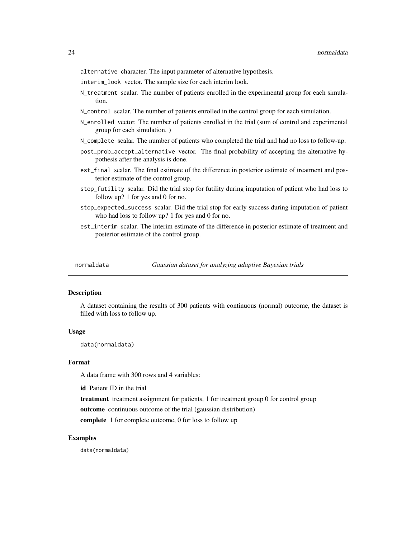<span id="page-23-0"></span>alternative character. The input parameter of alternative hypothesis.

- interim\_look vector. The sample size for each interim look.
- N\_treatment scalar. The number of patients enrolled in the experimental group for each simulation.
- N\_control scalar. The number of patients enrolled in the control group for each simulation.
- N\_enrolled vector. The number of patients enrolled in the trial (sum of control and experimental group for each simulation. )
- N\_complete scalar. The number of patients who completed the trial and had no loss to follow-up.
- post\_prob\_accept\_alternative vector. The final probability of accepting the alternative hypothesis after the analysis is done.
- est\_final scalar. The final estimate of the difference in posterior estimate of treatment and posterior estimate of the control group.
- stop\_futility scalar. Did the trial stop for futility during imputation of patient who had loss to follow up? 1 for yes and 0 for no.
- stop\_expected\_success scalar. Did the trial stop for early success during imputation of patient who had loss to follow up? 1 for yes and 0 for no.
- est\_interim scalar. The interim estimate of the difference in posterior estimate of treatment and posterior estimate of the control group.

normaldata *Gaussian dataset for analyzing adaptive Bayesian trials*

#### **Description**

A dataset containing the results of 300 patients with continuous (normal) outcome, the dataset is filled with loss to follow up.

#### Usage

data(normaldata)

#### Format

A data frame with 300 rows and 4 variables:

id Patient ID in the trial

treatment treatment assignment for patients, 1 for treatment group 0 for control group

outcome continuous outcome of the trial (gaussian distribution)

complete 1 for complete outcome, 0 for loss to follow up

#### Examples

data(normaldata)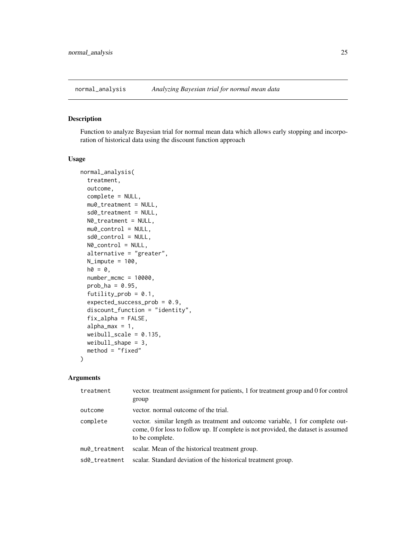<span id="page-24-0"></span>

Function to analyze Bayesian trial for normal mean data which allows early stopping and incorporation of historical data using the discount function approach

#### Usage

```
normal_analysis(
  treatment,
  outcome,
  complete = NULL,
  mu0_treatment = NULL,
  sd0_treatment = NULL,
 N0_treatment = NULL,
 mu0_{control} = NULL,
  sd0_control = NULL,
 N0_control = NULL,
  alternative = "greater",
  N_iimpute = 100,
  ho = 0,
  number_mcmc = 10000,
  prob_ha = 0.95,
  futility_prob = 0.1,
  expected_success_prob = 0.9,
  discount_function = "identity",
  fix_alpha = FALSE,
  alpha_{max} = 1,
  weibull_scale = 0.135,
  weibull_shape = 3,
 method = "fixed"
)
```
#### Arguments

| treatment     | vector. treatment assignment for patients, 1 for treatment group and 0 for control<br>group                                                                                            |
|---------------|----------------------------------------------------------------------------------------------------------------------------------------------------------------------------------------|
| outcome       | vector, normal outcome of the trial.                                                                                                                                                   |
| complete      | vector, similar length as treatment and outcome variable, 1 for complete out-<br>come, 0 for loss to follow up. If complete is not provided, the dataset is assumed<br>to be complete. |
| mu0_treatment | scalar. Mean of the historical treatment group.                                                                                                                                        |
| sd0 treatment | scalar. Standard deviation of the historical treatment group.                                                                                                                          |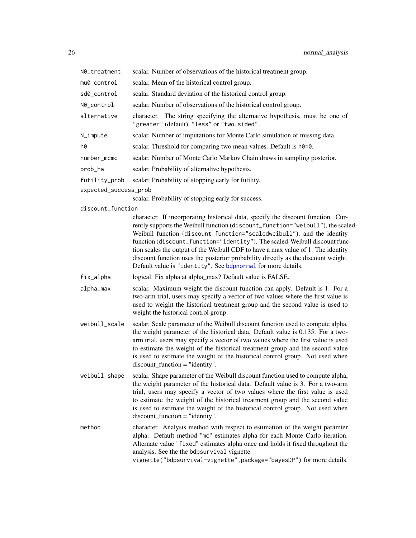<span id="page-25-0"></span>

| N0_treatment          | scalar. Number of observations of the historical treatment group.                                                                                                                                                                                                                                                                                                                                                                                                                                                                                                    |
|-----------------------|----------------------------------------------------------------------------------------------------------------------------------------------------------------------------------------------------------------------------------------------------------------------------------------------------------------------------------------------------------------------------------------------------------------------------------------------------------------------------------------------------------------------------------------------------------------------|
| mu0_control           | scalar. Mean of the historical control group.                                                                                                                                                                                                                                                                                                                                                                                                                                                                                                                        |
| sd0_control           | scalar. Standard deviation of the historical control group.                                                                                                                                                                                                                                                                                                                                                                                                                                                                                                          |
| N0_control            | scalar. Number of observations of the historical control group.                                                                                                                                                                                                                                                                                                                                                                                                                                                                                                      |
| alternative           | character. The string specifying the alternative hypothesis, must be one of<br>"greater" (default), "less" or "two.sided".                                                                                                                                                                                                                                                                                                                                                                                                                                           |
| N_impute              | scalar. Number of imputations for Monte Carlo simulation of missing data.                                                                                                                                                                                                                                                                                                                                                                                                                                                                                            |
| h0                    | scalar. Threshold for comparing two mean values. Default is h0=0.                                                                                                                                                                                                                                                                                                                                                                                                                                                                                                    |
| number_mcmc           | scalar. Number of Monte Carlo Markov Chain draws in sampling posterior.                                                                                                                                                                                                                                                                                                                                                                                                                                                                                              |
| prob_ha               | scalar. Probability of alternative hypothesis.                                                                                                                                                                                                                                                                                                                                                                                                                                                                                                                       |
| futility_prob         | scalar. Probability of stopping early for futility.                                                                                                                                                                                                                                                                                                                                                                                                                                                                                                                  |
| expected_success_prob |                                                                                                                                                                                                                                                                                                                                                                                                                                                                                                                                                                      |
|                       | scalar. Probability of stopping early for success.                                                                                                                                                                                                                                                                                                                                                                                                                                                                                                                   |
| discount_function     | character. If incorporating historical data, specify the discount function. Cur-<br>rently supports the Weibull function (discount_function="weibull"), the scaled-<br>Weibull function (discount_function="scaledweibull"), and the identity<br>function (discount_function="identity"). The scaled-Weibull discount func-<br>tion scales the output of the Weibull CDF to have a max value of 1. The identity<br>discount function uses the posterior probability directly as the discount weight.<br>Default value is "identity". See bdpnormal for more details. |
| fix_alpha             | logical. Fix alpha at alpha_max? Default value is FALSE.                                                                                                                                                                                                                                                                                                                                                                                                                                                                                                             |
| alpha_max             | scalar. Maximum weight the discount function can apply. Default is 1. For a<br>two-arm trial, users may specify a vector of two values where the first value is<br>used to weight the historical treatment group and the second value is used to<br>weight the historical control group.                                                                                                                                                                                                                                                                             |
| weibull_scale         | scalar. Scale parameter of the Weibull discount function used to compute alpha,<br>the weight parameter of the historical data. Default value is 0.135. For a two-<br>arm trial, users may specify a vector of two values where the first value is used<br>to estimate the weight of the historical treatment group and the second value<br>is used to estimate the weight of the historical control group. Not used when<br>$discount\_function = "identity".$                                                                                                      |
| weibull_shape         | scalar. Shape parameter of the Weibull discount function used to compute alpha,<br>the weight parameter of the historical data. Default value is 3. For a two-arm<br>trial, users may specify a vector of two values where the first value is used<br>to estimate the weight of the historical treatment group and the second value<br>is used to estimate the weight of the historical control group. Not used when<br>$discount\_function = "identity".$                                                                                                           |
| method                | character. Analysis method with respect to estimation of the weight paramter<br>alpha. Default method "mc" estimates alpha for each Monte Carlo iteration.<br>Alternate value "fixed" estimates alpha once and holds it fixed throughout the<br>analysis. See the the bdpsurvival vignette<br>vignette("bdpsurvival-vignette", package="bayesDP") for more details.                                                                                                                                                                                                  |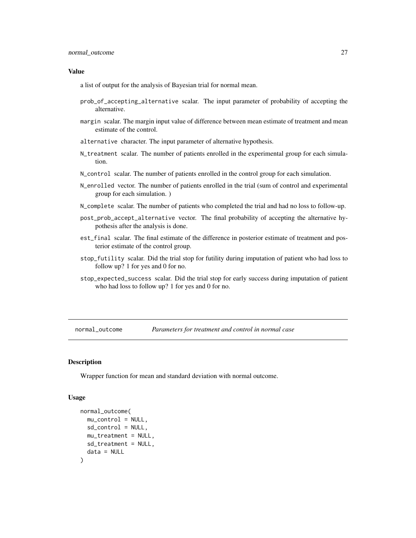#### <span id="page-26-0"></span>Value

a list of output for the analysis of Bayesian trial for normal mean.

- prob\_of\_accepting\_alternative scalar. The input parameter of probability of accepting the alternative.
- margin scalar. The margin input value of difference between mean estimate of treatment and mean estimate of the control.
- alternative character. The input parameter of alternative hypothesis.
- N\_treatment scalar. The number of patients enrolled in the experimental group for each simulation.
- N\_control scalar. The number of patients enrolled in the control group for each simulation.
- N\_enrolled vector. The number of patients enrolled in the trial (sum of control and experimental group for each simulation. )
- N\_complete scalar. The number of patients who completed the trial and had no loss to follow-up.
- post\_prob\_accept\_alternative vector. The final probability of accepting the alternative hypothesis after the analysis is done.
- est\_final scalar. The final estimate of the difference in posterior estimate of treatment and posterior estimate of the control group.
- stop\_futility scalar. Did the trial stop for futility during imputation of patient who had loss to follow up? 1 for yes and 0 for no.
- stop\_expected\_success scalar. Did the trial stop for early success during imputation of patient who had loss to follow up? 1 for yes and 0 for no.

normal\_outcome *Parameters for treatment and control in normal case*

# **Description**

Wrapper function for mean and standard deviation with normal outcome.

#### Usage

```
normal_outcome(
 mu_{control} = NULL,
  sd_control = NULL,
 mu_treatment = NULL,
  sd_treatment = NULL,
  data = NULL
)
```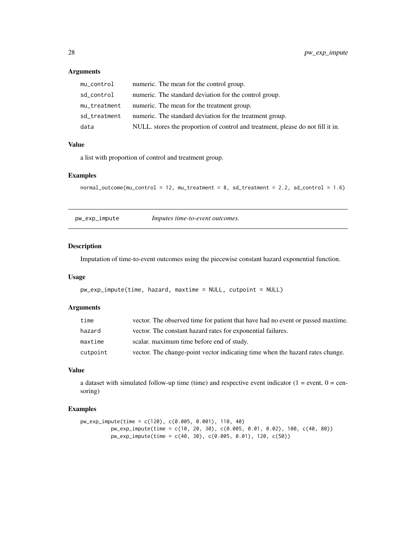# Arguments

| mu_control   | numeric. The mean for the control group.                                        |
|--------------|---------------------------------------------------------------------------------|
| sd_control   | numeric. The standard deviation for the control group.                          |
| mu_treatment | numeric. The mean for the treatment group.                                      |
| sd_treatment | numeric. The standard deviation for the treatment group.                        |
| data         | NULL, stores the proportion of control and treatment, please do not fill it in. |

### Value

a list with proportion of control and treatment group.

#### Examples

```
normal_outcome(mu_control = 12, mu_treatment = 8, sd_treatment = 2.2, sd_control = 1.6)
```
pw\_exp\_impute *Imputes time-to-event outcomes.*

# Description

Imputation of time-to-event outcomes using the piecewise constant hazard exponential function.

#### Usage

```
pw_exp_impute(time, hazard, maxtime = NULL, cutpoint = NULL)
```
# Arguments

| time     | vector. The observed time for patient that have had no event or passed maxtime. |
|----------|---------------------------------------------------------------------------------|
| hazard   | vector. The constant hazard rates for exponential failures.                     |
| maxtime  | scalar, maximum time before end of study.                                       |
| cutpoint | vector. The change-point vector indicating time when the hazard rates change.   |

#### Value

a dataset with simulated follow-up time (time) and respective event indicator ( $1 =$  event,  $0 =$  censoring)

# Examples

```
pw_exp_impute(time = c(120), c(0.005, 0.001), 110, 40)
         pw_exp_impute(time = c(10, 20, 30), c(0.005, 0.01, 0.02), 100, c(40, 80))
         pw_exp_impute(time = c(40, 30), c(0.005, 0.01), 120, c(50))
```
<span id="page-27-0"></span>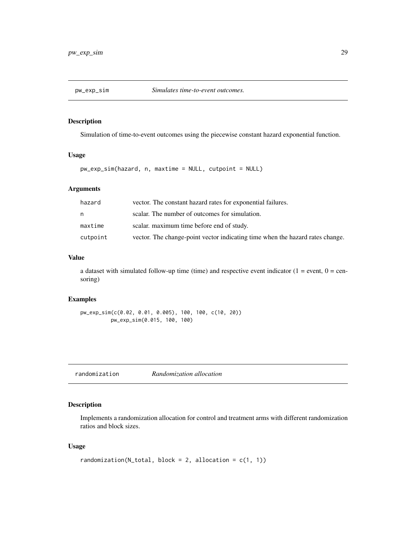<span id="page-28-0"></span>

Simulation of time-to-event outcomes using the piecewise constant hazard exponential function.

#### Usage

pw\_exp\_sim(hazard, n, maxtime = NULL, cutpoint = NULL)

# Arguments

| hazard   | vector. The constant hazard rates for exponential failures.                   |
|----------|-------------------------------------------------------------------------------|
| n.       | scalar. The number of outcomes for simulation.                                |
| maxtime  | scalar, maximum time before end of study.                                     |
| cutpoint | vector. The change-point vector indicating time when the hazard rates change. |

# Value

a dataset with simulated follow-up time (time) and respective event indicator ( $1 =$  event,  $0 =$  censoring)

# Examples

```
pw_exp_sim(c(0.02, 0.01, 0.005), 100, 100, c(10, 20))
         pw_exp_sim(0.015, 100, 100)
```
<span id="page-28-1"></span>randomization *Randomization allocation*

# Description

Implements a randomization allocation for control and treatment arms with different randomization ratios and block sizes.

#### Usage

```
randomization(N_total, block = 2, allocation = c(1, 1))
```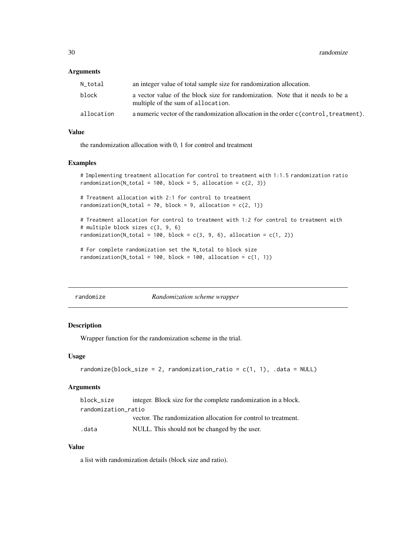#### <span id="page-29-0"></span>**Arguments**

| N total    | an integer value of total sample size for randomization allocation.                                                  |
|------------|----------------------------------------------------------------------------------------------------------------------|
| block      | a vector value of the block size for randomization. Note that it needs to be a<br>multiple of the sum of allocation. |
| allocation | a numeric vector of the randomization allocation in the order c (control, treatment).                                |

#### Value

the randomization allocation with 0, 1 for control and treatment

#### Examples

# Implementing treatment allocation for control to treatment with 1:1.5 randomization ratio randomization(N\_total = 100, block = 5, allocation =  $c(2, 3)$ )

# Treatment allocation with 2:1 for control to treatment randomization( $N_{\text{total}} = 70$ , block = 9, allocation = c(2, 1))

```
# Treatment allocation for control to treatment with 1:2 for control to treatment with
# multiple block sizes c(3, 9, 6)
randomization(N_total = 100, block = c(3, 9, 6), allocation = c(1, 2))
```
# For complete randomization set the N\_total to block size randomization( $N_{total} = 100$ , block = 100, allocation =  $c(1, 1)$ )

| randomize |  |
|-----------|--|
|           |  |

#### randomize *Randomization scheme wrapper*

# Description

Wrapper function for the randomization scheme in the trial.

#### Usage

```
randomize(block_size = 2, randomization_ratio = c(1, 1), .data = NULL)
```
#### **Arguments**

| block size          | integer. Block size for the complete randomization in a block. |
|---------------------|----------------------------------------------------------------|
| randomization_ratio |                                                                |
|                     | vector. The randomization allocation for control to treatment. |
| .data               | NULL. This should not be changed by the user.                  |

# Value

a list with randomization details (block size and ratio).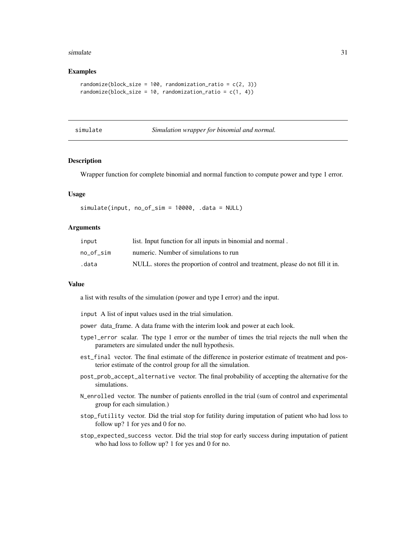#### <span id="page-30-0"></span>simulate 31

#### Examples

```
randomize(block_size = 100, randomization_ratio = c(2, 3))
randomize(block_size = 10, randomization_ratio = c(1, 4))
```

| simulate |  |
|----------|--|
|          |  |

| simulate | Simulation wrapper for binomial and normal. |  |  |  |  |  |
|----------|---------------------------------------------|--|--|--|--|--|
|----------|---------------------------------------------|--|--|--|--|--|

#### Description

Wrapper function for complete binomial and normal function to compute power and type 1 error.

#### Usage

simulate(input, no\_of\_sim = 10000, .data = NULL)

#### Arguments

| input     | list. Input function for all inputs in binomial and normal.                     |
|-----------|---------------------------------------------------------------------------------|
| no of sim | numeric. Number of simulations to run                                           |
| .data     | NULL, stores the proportion of control and treatment, please do not fill it in. |

# Value

a list with results of the simulation (power and type I error) and the input.

input A list of input values used in the trial simulation.

power data\_frame. A data frame with the interim look and power at each look.

- type1\_error scalar. The type 1 error or the number of times the trial rejects the null when the parameters are simulated under the null hypothesis.
- est\_final vector. The final estimate of the difference in posterior estimate of treatment and posterior estimate of the control group for all the simulation.
- post\_prob\_accept\_alternative vector. The final probability of accepting the alternative for the simulations.
- N\_enrolled vector. The number of patients enrolled in the trial (sum of control and experimental group for each simulation.)
- stop\_futility vector. Did the trial stop for futility during imputation of patient who had loss to follow up? 1 for yes and 0 for no.
- stop\_expected\_success vector. Did the trial stop for early success during imputation of patient who had loss to follow up? 1 for yes and 0 for no.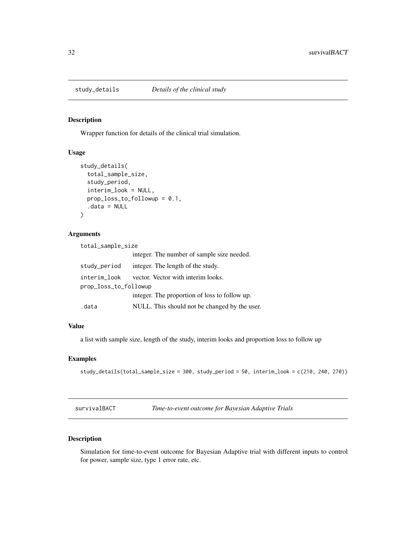<span id="page-31-0"></span>

Wrapper function for details of the clinical trial simulation.

# Usage

```
study_details(
  total_sample_size,
  study_period,
  interim_look = NULL,
 prop_loss_to_followup = 0.1,
  .data = NULL
)
```
#### Arguments

| total_sample_size     |                                               |  |
|-----------------------|-----------------------------------------------|--|
|                       | integer. The number of sample size needed.    |  |
| study_period          | integer. The length of the study.             |  |
| interim_look          | vector. Vector with interim looks.            |  |
| prop_loss_to_followup |                                               |  |
|                       | integer. The proportion of loss to follow up. |  |
| .data                 | NULL. This should not be changed by the user. |  |

#### Value

a list with sample size, length of the study, interim looks and proportion loss to follow up

# Examples

study\_details(total\_sample\_size = 300, study\_period = 50, interim\_look = c(210, 240, 270))

survivalBACT *Time-to-event outcome for Bayesian Adaptive Trials*

# Description

Simulation for time-to-event outcome for Bayesian Adaptive trial with different inputs to control for power, sample size, type 1 error rate, etc.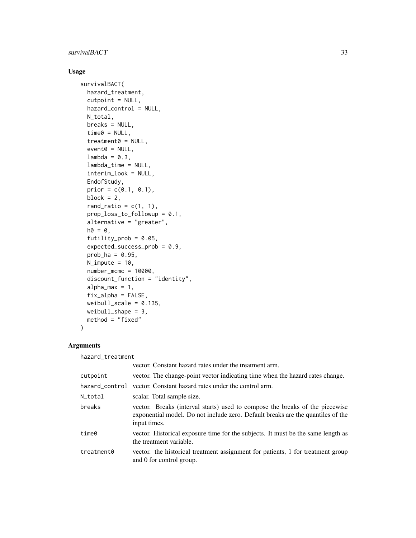# survivalBACT 33

# Usage

```
survivalBACT(
 hazard_treatment,
  cutpoint = NULL,
 hazard_control = NULL,
 N_total,
 breaks = NULL,
  time0 = NULL,treatment0 = NULL,
  event0 = NULL,
  lambda = 0.3,
  lambda_time = NULL,
  interim_look = NULL,
 EndofStudy,
 prior = c(0.1, 0.1),
 block = 2,
  rand_ratio = c(1, 1),
 prop_loss_to_followup = 0.1,
  alternative = "greater",
 ho = 0,
  futility_prob = 0.05,expected_success_prob = 0.9,
  prob_ha = 0.95,N_impute = 10,
  number_mcmc = 10000,
  discount_function = "identity",
  alpha_max = 1,
  fix_alpha = FALSE,
 weibull_scale = 0.135,
 weibull_shape = 3,
 method = "fixed"\mathcal{L}
```
# Arguments

hazard\_treatment

|            | vector. Constant hazard rates under the treatment arm.                                                                                                                          |
|------------|---------------------------------------------------------------------------------------------------------------------------------------------------------------------------------|
| cutpoint   | vector. The change-point vector indicating time when the hazard rates change.                                                                                                   |
|            | hazard_control vector. Constant hazard rates under the control arm.                                                                                                             |
| N_total    | scalar. Total sample size.                                                                                                                                                      |
| breaks     | vector. Breaks (interval starts) used to compose the breaks of the piecewise<br>exponential model. Do not include zero. Default breaks are the quantiles of the<br>input times. |
| time0      | vector. Historical exposure time for the subjects. It must be the same length as<br>the treatment variable.                                                                     |
| treatment0 | vector. the historical treatment assignment for patients, 1 for treatment group<br>and 0 for control group.                                                                     |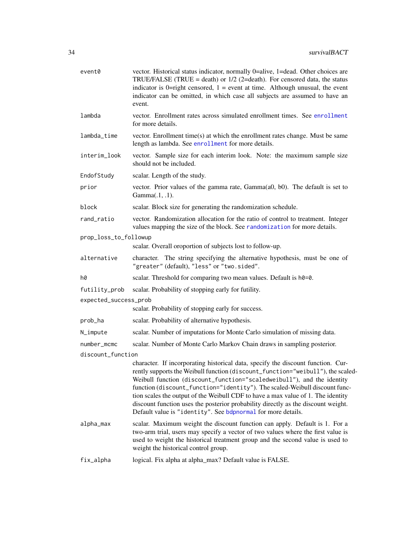<span id="page-33-0"></span>

| event0                | vector. Historical status indicator, normally 0=alive, 1=dead. Other choices are<br>TRUE/FALSE (TRUE = death) or $1/2$ (2=death). For censored data, the status<br>indicator is 0=right censored, $1 =$ event at time. Although unusual, the event<br>indicator can be omitted, in which case all subjects are assumed to have an<br>event.                                                                                                                                                                                                                          |
|-----------------------|----------------------------------------------------------------------------------------------------------------------------------------------------------------------------------------------------------------------------------------------------------------------------------------------------------------------------------------------------------------------------------------------------------------------------------------------------------------------------------------------------------------------------------------------------------------------|
| lambda                | vector. Enrollment rates across simulated enrollment times. See enrollment<br>for more details.                                                                                                                                                                                                                                                                                                                                                                                                                                                                      |
| lambda_time           | vector. Enrollment time(s) at which the enrollment rates change. Must be same<br>length as lambda. See enrollment for more details.                                                                                                                                                                                                                                                                                                                                                                                                                                  |
| interim_look          | vector. Sample size for each interim look. Note: the maximum sample size<br>should not be included.                                                                                                                                                                                                                                                                                                                                                                                                                                                                  |
| EndofStudy            | scalar. Length of the study.                                                                                                                                                                                                                                                                                                                                                                                                                                                                                                                                         |
| prior                 | vector. Prior values of the gamma rate, $Gamma(a0, b0)$ . The default is set to<br>Gamma(.1, .1).                                                                                                                                                                                                                                                                                                                                                                                                                                                                    |
| block                 | scalar. Block size for generating the randomization schedule.                                                                                                                                                                                                                                                                                                                                                                                                                                                                                                        |
| rand_ratio            | vector. Randomization allocation for the ratio of control to treatment. Integer<br>values mapping the size of the block. See randomization for more details.                                                                                                                                                                                                                                                                                                                                                                                                         |
| prop_loss_to_followup | scalar. Overall oroportion of subjects lost to follow-up.                                                                                                                                                                                                                                                                                                                                                                                                                                                                                                            |
| alternative           | character. The string specifying the alternative hypothesis, must be one of<br>"greater" (default), "less" or "two.sided".                                                                                                                                                                                                                                                                                                                                                                                                                                           |
| h0                    | scalar. Threshold for comparing two mean values. Default is h0=0.                                                                                                                                                                                                                                                                                                                                                                                                                                                                                                    |
| futility_prob         | scalar. Probability of stopping early for futility.                                                                                                                                                                                                                                                                                                                                                                                                                                                                                                                  |
| expected_success_prob |                                                                                                                                                                                                                                                                                                                                                                                                                                                                                                                                                                      |
|                       | scalar. Probability of stopping early for success.                                                                                                                                                                                                                                                                                                                                                                                                                                                                                                                   |
| prob_ha               | scalar. Probability of alternative hypothesis.                                                                                                                                                                                                                                                                                                                                                                                                                                                                                                                       |
| N_impute              | scalar. Number of imputations for Monte Carlo simulation of missing data.                                                                                                                                                                                                                                                                                                                                                                                                                                                                                            |
| number_mcmc           | scalar. Number of Monte Carlo Markov Chain draws in sampling posterior.                                                                                                                                                                                                                                                                                                                                                                                                                                                                                              |
| discount_function     |                                                                                                                                                                                                                                                                                                                                                                                                                                                                                                                                                                      |
|                       | character. If incorporating historical data, specify the discount function. Cur-<br>rently supports the Weibull function (discount_function="weibull"), the scaled-<br>Weibull function (discount_function="scaledweibull"), and the identity<br>function (discount_function="identity"). The scaled-Weibull discount func-<br>tion scales the output of the Weibull CDF to have a max value of 1. The identity<br>discount function uses the posterior probability directly as the discount weight.<br>Default value is "identity". See bdpnormal for more details. |
| alpha_max             | scalar. Maximum weight the discount function can apply. Default is 1. For a<br>two-arm trial, users may specify a vector of two values where the first value is<br>used to weight the historical treatment group and the second value is used to<br>weight the historical control group.                                                                                                                                                                                                                                                                             |
| fix_alpha             | logical. Fix alpha at alpha_max? Default value is FALSE.                                                                                                                                                                                                                                                                                                                                                                                                                                                                                                             |
|                       |                                                                                                                                                                                                                                                                                                                                                                                                                                                                                                                                                                      |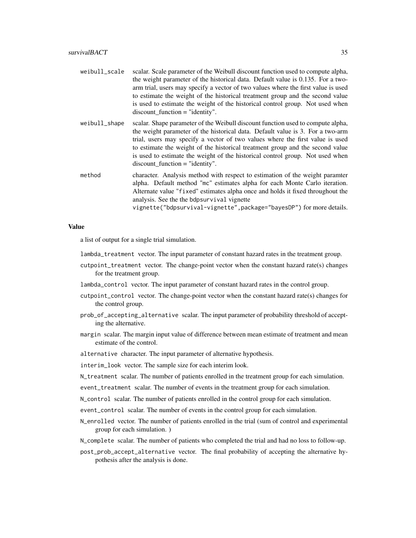- weibull\_scale scalar. Scale parameter of the Weibull discount function used to compute alpha, the weight parameter of the historical data. Default value is 0.135. For a twoarm trial, users may specify a vector of two values where the first value is used to estimate the weight of the historical treatment group and the second value is used to estimate the weight of the historical control group. Not used when discount\_function = "identity".
- weibull\_shape scalar. Shape parameter of the Weibull discount function used to compute alpha, the weight parameter of the historical data. Default value is 3. For a two-arm trial, users may specify a vector of two values where the first value is used to estimate the weight of the historical treatment group and the second value is used to estimate the weight of the historical control group. Not used when discount\_function = "identity".
- method character. Analysis method with respect to estimation of the weight paramter alpha. Default method "mc" estimates alpha for each Monte Carlo iteration. Alternate value "fixed" estimates alpha once and holds it fixed throughout the analysis. See the the bdpsurvival vignette

vignette("bdpsurvival-vignette",package="bayesDP") for more details.

#### Value

a list of output for a single trial simulation.

lambda\_treatment vector. The input parameter of constant hazard rates in the treatment group.

- cutpoint\_treatment vector. The change-point vector when the constant hazard rate(s) changes for the treatment group.
- lambda\_control vector. The input parameter of constant hazard rates in the control group.
- cutpoint\_control vector. The change-point vector when the constant hazard rate(s) changes for the control group.
- prob\_of\_accepting\_alternative scalar. The input parameter of probability threshold of accepting the alternative.
- margin scalar. The margin input value of difference between mean estimate of treatment and mean estimate of the control.

alternative character. The input parameter of alternative hypothesis.

- interim\_look vector. The sample size for each interim look.
- N\_treatment scalar. The number of patients enrolled in the treatment group for each simulation.
- event\_treatment scalar. The number of events in the treatment group for each simulation.
- N\_control scalar. The number of patients enrolled in the control group for each simulation.
- event\_control scalar. The number of events in the control group for each simulation.
- N\_enrolled vector. The number of patients enrolled in the trial (sum of control and experimental group for each simulation. )
- N\_complete scalar. The number of patients who completed the trial and had no loss to follow-up.
- post\_prob\_accept\_alternative vector. The final probability of accepting the alternative hypothesis after the analysis is done.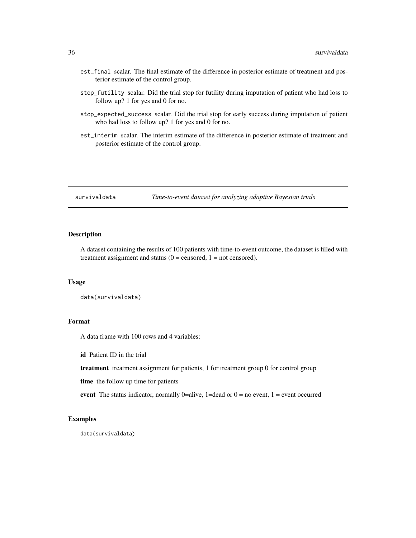- <span id="page-35-0"></span>est\_final scalar. The final estimate of the difference in posterior estimate of treatment and posterior estimate of the control group.
- stop\_futility scalar. Did the trial stop for futility during imputation of patient who had loss to follow up? 1 for yes and 0 for no.
- stop\_expected\_success scalar. Did the trial stop for early success during imputation of patient who had loss to follow up? 1 for yes and 0 for no.
- est\_interim scalar. The interim estimate of the difference in posterior estimate of treatment and posterior estimate of the control group.

survivaldata *Time-to-event dataset for analyzing adaptive Bayesian trials*

# Description

A dataset containing the results of 100 patients with time-to-event outcome, the dataset is filled with treatment assignment and status  $(0 =$  censored,  $1 =$  not censored).

#### Usage

```
data(survivaldata)
```
# Format

A data frame with 100 rows and 4 variables:

id Patient ID in the trial

treatment treatment assignment for patients, 1 for treatment group 0 for control group

time the follow up time for patients

event The status indicator, normally 0=alive, 1=dead or  $0 =$  no event, 1 = event occurred

#### Examples

data(survivaldata)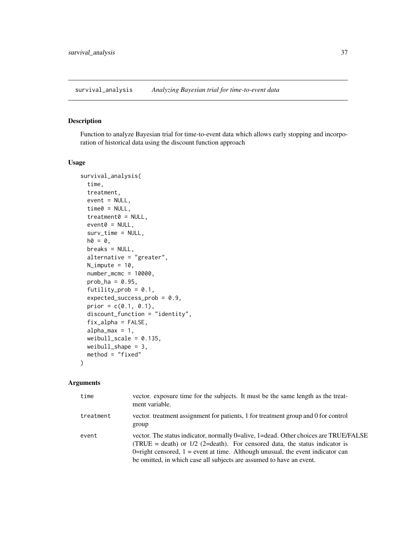<span id="page-36-0"></span>survival\_analysis *Analyzing Bayesian trial for time-to-event data*

#### Description

Function to analyze Bayesian trial for time-to-event data which allows early stopping and incorporation of historical data using the discount function approach

#### Usage

```
survival_analysis(
  time,
  treatment,
  event = NULL,time0 = NULL,
  treatment0 = NULL,
  event0 = NULL,surv_time = NULL,
 h0 = 0,
 breaks = NULL,
  alternative = "greater",
  N_impute = 10,
  number_mcmc = 10000,
 prob_ha = 0.95,
  futility_prob = 0.1,
  expected_success_prob = 0.9,
  prior = c(0.1, 0.1),
  discount_function = "identity",
  fix\_alpha = FALSE,alpha_max = 1,
  weibull_scale = 0.135,
 weibull_shape = 3,
  method = "fixed")
```
#### Arguments

| time      | vector. exposure time for the subjects. It must be the same length as the treat-<br>ment variable.                                                                                                                                                                                                                                |
|-----------|-----------------------------------------------------------------------------------------------------------------------------------------------------------------------------------------------------------------------------------------------------------------------------------------------------------------------------------|
| treatment | vector. treatment assignment for patients, 1 for treatment group and 0 for control<br>group                                                                                                                                                                                                                                       |
| event     | vector. The status indicator, normally 0=alive, 1=dead. Other choices are TRUE/FALSE<br>(TRUE = death) or $1/2$ (2=death). For censored data, the status indicator is<br>0-right censored, $1 =$ event at time. Although unusual, the event indicator can<br>be omitted, in which case all subjects are assumed to have an event. |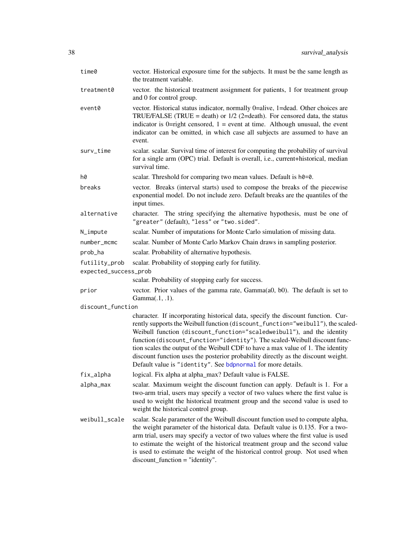<span id="page-37-0"></span>

| time0                 | vector. Historical exposure time for the subjects. It must be the same length as<br>the treatment variable.                                                                                                                                                                                                                                                                                                                                                                                                                                                          |
|-----------------------|----------------------------------------------------------------------------------------------------------------------------------------------------------------------------------------------------------------------------------------------------------------------------------------------------------------------------------------------------------------------------------------------------------------------------------------------------------------------------------------------------------------------------------------------------------------------|
| treatment0            | vector. the historical treatment assignment for patients, 1 for treatment group<br>and 0 for control group.                                                                                                                                                                                                                                                                                                                                                                                                                                                          |
| event0                | vector. Historical status indicator, normally 0=alive, 1=dead. Other choices are<br>TRUE/FALSE (TRUE = death) or $1/2$ (2=death). For censored data, the status<br>indicator is 0=right censored, $1 =$ event at time. Although unusual, the event<br>indicator can be omitted, in which case all subjects are assumed to have an<br>event.                                                                                                                                                                                                                          |
| surv_time             | scalar. scalar. Survival time of interest for computing the probability of survival<br>for a single arm (OPC) trial. Default is overall, i.e., current+historical, median<br>survival time.                                                                                                                                                                                                                                                                                                                                                                          |
| h0                    | scalar. Threshold for comparing two mean values. Default is h0=0.                                                                                                                                                                                                                                                                                                                                                                                                                                                                                                    |
| breaks                | vector. Breaks (interval starts) used to compose the breaks of the piecewise<br>exponential model. Do not include zero. Default breaks are the quantiles of the<br>input times.                                                                                                                                                                                                                                                                                                                                                                                      |
| alternative           | character. The string specifying the alternative hypothesis, must be one of<br>"greater" (default), "less" or "two.sided".                                                                                                                                                                                                                                                                                                                                                                                                                                           |
| N_impute              | scalar. Number of imputations for Monte Carlo simulation of missing data.                                                                                                                                                                                                                                                                                                                                                                                                                                                                                            |
| number_mcmc           | scalar. Number of Monte Carlo Markov Chain draws in sampling posterior.                                                                                                                                                                                                                                                                                                                                                                                                                                                                                              |
| prob_ha               | scalar. Probability of alternative hypothesis.                                                                                                                                                                                                                                                                                                                                                                                                                                                                                                                       |
| futility_prob         | scalar. Probability of stopping early for futility.                                                                                                                                                                                                                                                                                                                                                                                                                                                                                                                  |
| expected_success_prob |                                                                                                                                                                                                                                                                                                                                                                                                                                                                                                                                                                      |
|                       | scalar. Probability of stopping early for success.                                                                                                                                                                                                                                                                                                                                                                                                                                                                                                                   |
| prior                 | vector. Prior values of the gamma rate, Gamma(a0, b0). The default is set to<br>Gamma(.1, .1).                                                                                                                                                                                                                                                                                                                                                                                                                                                                       |
| discount_function     |                                                                                                                                                                                                                                                                                                                                                                                                                                                                                                                                                                      |
|                       | character. If incorporating historical data, specify the discount function. Cur-<br>rently supports the Weibull function (discount_function="weibull"), the scaled-<br>Weibull function (discount_function="scaledweibull"), and the identity<br>function (discount_function="identity"). The scaled-Weibull discount func-<br>tion scales the output of the Weibull CDF to have a max value of 1. The identity<br>discount function uses the posterior probability directly as the discount weight.<br>Default value is "identity". See bdpnormal for more details. |
| fix_alpha             | logical. Fix alpha at alpha_max? Default value is FALSE.                                                                                                                                                                                                                                                                                                                                                                                                                                                                                                             |
| alpha_max             | scalar. Maximum weight the discount function can apply. Default is 1. For a<br>two-arm trial, users may specify a vector of two values where the first value is<br>used to weight the historical treatment group and the second value is used to<br>weight the historical control group.                                                                                                                                                                                                                                                                             |
| weibull_scale         | scalar. Scale parameter of the Weibull discount function used to compute alpha,<br>the weight parameter of the historical data. Default value is 0.135. For a two-<br>arm trial, users may specify a vector of two values where the first value is used<br>to estimate the weight of the historical treatment group and the second value<br>is used to estimate the weight of the historical control group. Not used when<br>$discount\_function = "identity".$                                                                                                      |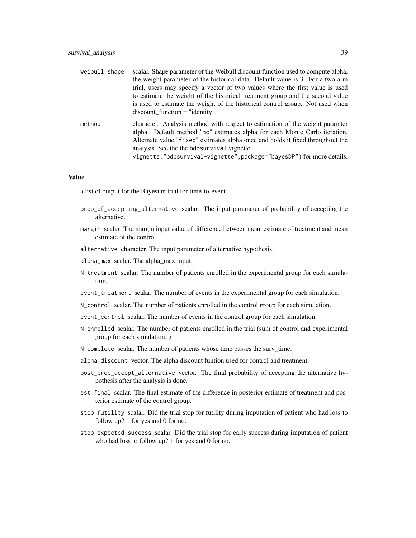| weibull_shape | scalar. Shape parameter of the Weibull discount function used to compute alpha,<br>the weight parameter of the historical data. Default value is 3. For a two-arm<br>trial, users may specify a vector of two values where the first value is used<br>to estimate the weight of the historical treatment group and the second value<br>is used to estimate the weight of the historical control group. Not used when<br>$discount$ function = "identity". |
|---------------|-----------------------------------------------------------------------------------------------------------------------------------------------------------------------------------------------------------------------------------------------------------------------------------------------------------------------------------------------------------------------------------------------------------------------------------------------------------|
| method        | character. Analysis method with respect to estimation of the weight paramter<br>alpha. Default method "mc" estimates alpha for each Monte Carlo iteration.<br>Alternate value "fixed" estimates alpha once and holds it fixed throughout the<br>analysis. See the the bdpsurvival vignette<br>vignette("bdpsurvival-vignette", package="bayesDP") for more details.                                                                                       |

#### Value

a list of output for the Bayesian trial for time-to-event.

- prob\_of\_accepting\_alternative scalar. The input parameter of probability of accepting the alternative.
- margin scalar. The margin input value of difference between mean estimate of treatment and mean estimate of the control.
- alternative character. The input parameter of alternative hypothesis.
- alpha\_max scalar. The alpha\_max input.
- N\_treatment scalar. The number of patients enrolled in the experimental group for each simulation.
- event\_treatment scalar. The number of events in the experimental group for each simulation.
- N\_control scalar. The number of patients enrolled in the control group for each simulation.
- event\_control scalar. The number of events in the control group for each simulation.
- N\_enrolled scalar. The number of patients enrolled in the trial (sum of control and experimental group for each simulation. )
- N\_complete scalar. The number of patients whose time passes the surv\_time.
- alpha\_discount vector. The alpha discount funtion used for control and treatment.
- post\_prob\_accept\_alternative vector. The final probability of accepting the alternative hypothesis after the analysis is done.
- est\_final scalar. The final estimate of the difference in posterior estimate of treatment and posterior estimate of the control group.
- stop\_futility scalar. Did the trial stop for futility during imputation of patient who had loss to follow up? 1 for yes and 0 for no.
- stop\_expected\_success scalar. Did the trial stop for early success during imputation of patient who had loss to follow up? 1 for yes and 0 for no.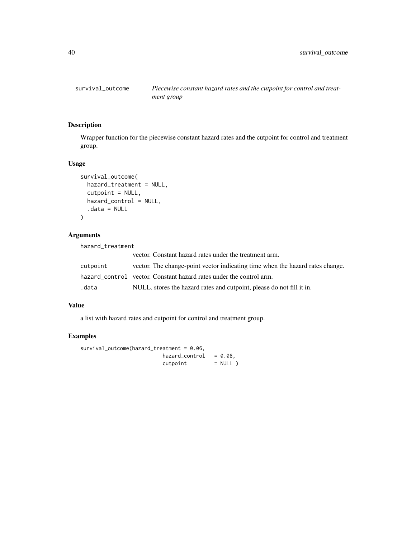<span id="page-39-0"></span>

Wrapper function for the piecewise constant hazard rates and the cutpoint for control and treatment group.

# Usage

```
survival_outcome(
  hazard_treatment = NULL,
  cutpoint = NULL,
  hazard_control = NULL,
  .data = NULL
\mathcal{L}
```
# Arguments

hazard\_treatment

|          | vector. Constant hazard rates under the treatment arm.                        |
|----------|-------------------------------------------------------------------------------|
| cutpoint | vector. The change-point vector indicating time when the hazard rates change. |
|          | hazard_control vector. Constant hazard rates under the control arm.           |
| .data    | NULL, stores the hazard rates and cutpoint, please do not fill it in.         |

# Value

a list with hazard rates and cutpoint for control and treatment group.

# Examples

```
survival_outcome(hazard_treatment = 0.06,
                        hazard</u>control = 0.08,
                        cutoff = NULL )
```